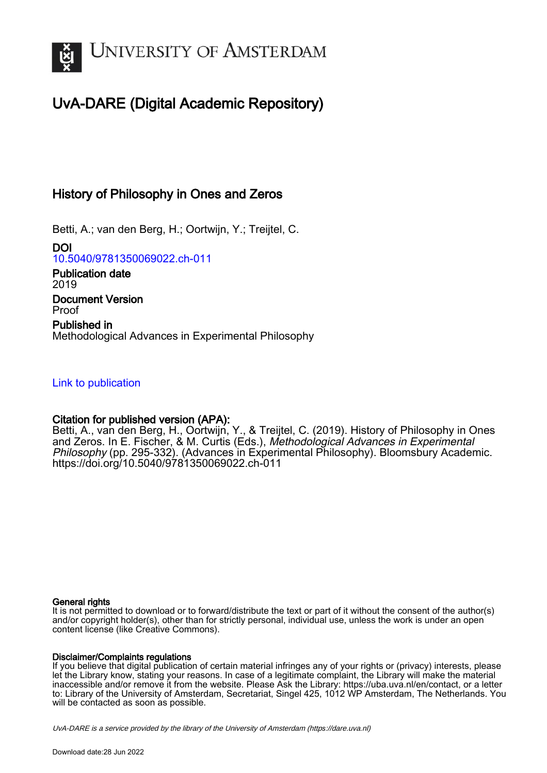

# UvA-DARE (Digital Academic Repository)

## History of Philosophy in Ones and Zeros

Betti, A.; van den Berg, H.; Oortwijn, Y.; Treijtel, C.

DOI [10.5040/9781350069022.ch-011](https://doi.org/10.5040/9781350069022.ch-011)

Publication date 2019 Document Version Proof Published in Methodological Advances in Experimental Philosophy

### [Link to publication](https://dare.uva.nl/personal/pure/en/publications/history-of-philosophy-in-ones-and-zeros(2b547e4e-c021-47a5-8357-6fb6e3d588d7).html)

### Citation for published version (APA):

Betti, A., van den Berg, H., Oortwijn, Y., & Treijtel, C. (2019). History of Philosophy in Ones and Zeros. In E. Fischer, & M. Curtis (Eds.), Methodological Advances in Experimental Philosophy (pp. 295-332). (Advances in Experimental Philosophy). Bloomsbury Academic. <https://doi.org/10.5040/9781350069022.ch-011>

#### General rights

It is not permitted to download or to forward/distribute the text or part of it without the consent of the author(s) and/or copyright holder(s), other than for strictly personal, individual use, unless the work is under an open content license (like Creative Commons).

#### Disclaimer/Complaints regulations

If you believe that digital publication of certain material infringes any of your rights or (privacy) interests, please let the Library know, stating your reasons. In case of a legitimate complaint, the Library will make the material inaccessible and/or remove it from the website. Please Ask the Library: https://uba.uva.nl/en/contact, or a letter to: Library of the University of Amsterdam, Secretariat, Singel 425, 1012 WP Amsterdam, The Netherlands. You will be contacted as soon as possible.

UvA-DARE is a service provided by the library of the University of Amsterdam (http*s*://dare.uva.nl)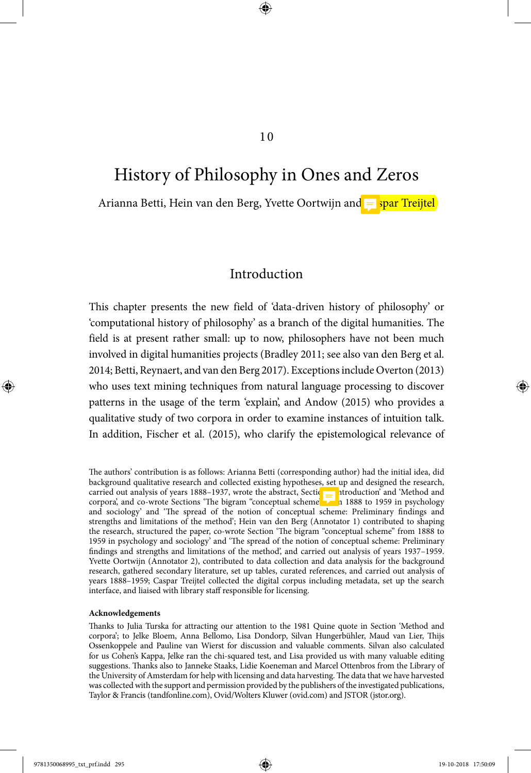## History of Philosophy in Ones and Zeros

Arianna Betti, Hein van den Berg, Yvette Oortwijn and = spar Treijtel

### Introduction

This chapter presents the new field of 'data-driven history of philosophy' or 'computational history of philosophy' as a branch of the digital humanities. The field is at present rather small: up to now, philosophers have not been much involved in digital humanities projects (Bradley 2011; see also van den Berg et al. 2014; Betti, Reynaert, and van den Berg 2017). Exceptions include Overton (2013) who uses text mining techniques from natural language processing to discover patterns in the usage of the term 'explain', and Andow (2015) who provides a qualitative study of two corpora in order to examine instances of intuition talk. In addition, Fischer et al. (2015), who clarify the epistemological relevance of

The authors' contribution is as follows: Arianna Betti (corresponding author) had the initial idea, did background qualitative research and collected existing hypotheses, set up and designed the research, carried out analysis of years 1888–1937, wrote the abstract, Sections and introduction' and 'Method and corpora', and co-wrote Sections 'The bigram "conceptual scheme" for 1888 to 1959 in psychology and sociology' and 'The spread of the notion of conceptual scheme: Preliminary findings and strengths and limitations of the method'; Hein van den Berg (Annotator 1) contributed to shaping the research, structured the paper, co-wrote Section 'The bigram "conceptual scheme" from 1888 to 1959 in psychology and sociology' and 'The spread of the notion of conceptual scheme: Preliminary findings and strengths and limitations of the method', and carried out analysis of years 1937–1959. Yvette Oortwijn (Annotator 2), contributed to data collection and data analysis for the background research, gathered secondary literature, set up tables, curated references, and carried out analysis of years 1888–1959; Caspar Treijtel collected the digital corpus including metadata, set up the search interface, and liaised with library staff responsible for licensing.

#### **Acknowledgements**

Thanks to Julia Turska for attracting our attention to the 1981 Quine quote in Section 'Method and corpora'; to Jelke Bloem, Anna Bellomo, Lisa Dondorp, Silvan Hungerbühler, Maud van Lier, Thijs Ossenkoppele and Pauline van Wierst for discussion and valuable comments. Silvan also calculated for us Cohen's Kappa, Jelke ran the chi-squared test, and Lisa provided us with many valuable editing suggestions. Thanks also to Janneke Staaks, Lidie Koeneman and Marcel Ottenbros from the Library of the University of Amsterdam for help with licensing and data harvesting. The data that we have harvested was collected with the support and permission provided by the publishers of the investigated publications, Taylor & Francis (tandfonline.com), Ovid/Wolters Kluwer (ovid.com) and JSTOR (jstor.org).

⊕

⊕

10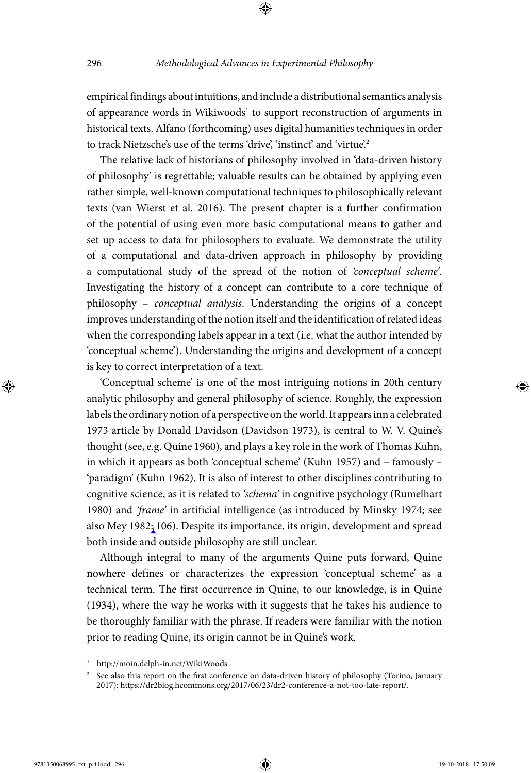empirical findings about intuitions, and include a distributional semantics analysis of appearance words in Wikiwoods<sup>1</sup> to support reconstruction of arguments in historical texts. Alfano (forthcoming) uses digital humanities techniques in order to track Nietzsche's use of the terms 'drive', 'instinct' and 'virtue'.<sup>2</sup>

The relative lack of historians of philosophy involved in 'data-driven history of philosophy' is regrettable; valuable results can be obtained by applying even rather simple, well-known computational techniques to philosophically relevant texts (van Wierst et al. 2016). The present chapter is a further confirmation of the potential of using even more basic computational means to gather and set up access to data for philosophers to evaluate. We demonstrate the utility of a computational and data-driven approach in philosophy by providing a computational study of the spread of the notion of *'conceptual scheme'*. Investigating the history of a concept can contribute to a core technique of philosophy – *conceptual analysis*. Understanding the origins of a concept improves understanding of the notion itself and the identification of related ideas when the corresponding labels appear in a text (i.e. what the author intended by 'conceptual scheme'). Understanding the origins and development of a concept is key to correct interpretation of a text.

'Conceptual scheme' is one of the most intriguing notions in 20th century analytic philosophy and general philosophy of science. Roughly, the expression labels the ordinary notion of a perspective on the world. It appears inn a celebrated 1973 article by Donald Davidson (Davidson 1973), is central to W. V. Quine's thought (see, e.g. Quine 1960), and plays a key role in the work of Thomas Kuhn, in which it appears as both 'conceptual scheme' (Kuhn 1957) and – famously – 'paradigm' (Kuhn 1962), It is also of interest to other disciplines contributing to cognitive science, as it is related to *'schema'* in cognitive psychology (Rumelhart 1980) and *'frame'* in artificial intelligence (as introduced by Minsky 1974; see also Mey 1982: 106). Despite its importance, its origin, development and spread both inside and outside philosophy are still unclear.

Although integral to many of the arguments Quine puts forward, Quine nowhere defines or characterizes the expression 'conceptual scheme' as a technical term. The first occurrence in Quine, to our knowledge, is in Quine (1934), where the way he works with it suggests that he takes his audience to be thoroughly familiar with the phrase. If readers were familiar with the notion prior to reading Quine, its origin cannot be in Quine's work.

⊕

<sup>1</sup> http://moin.delph-in.net/WikiWoods

See also this report on the first conference on data-driven history of philosophy (Torino, January 2017): https://dr2blog.hcommons.org/2017/06/23/dr2-conference-a-not-too-late-report/.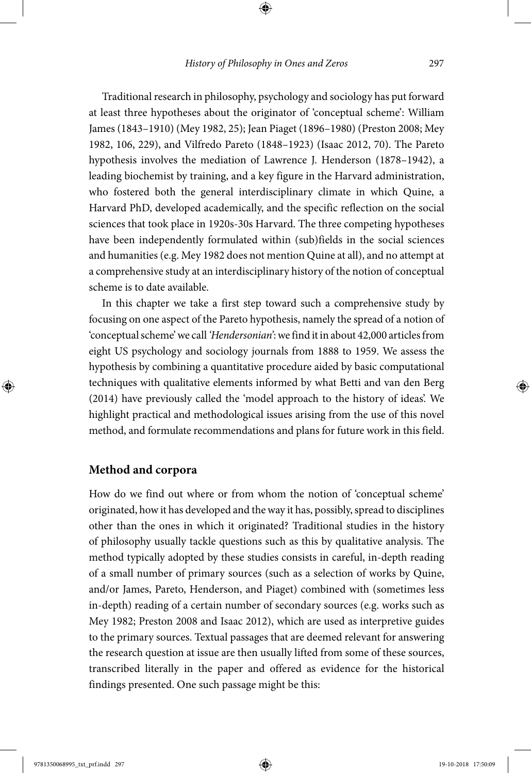Traditional research in philosophy, psychology and sociology has put forward at least three hypotheses about the originator of 'conceptual scheme': William James (1843–1910) (Mey 1982, 25); Jean Piaget (1896–1980) (Preston 2008; Mey 1982, 106, 229), and Vilfredo Pareto (1848–1923) (Isaac 2012, 70). The Pareto hypothesis involves the mediation of Lawrence J. Henderson (1878–1942), a leading biochemist by training, and a key figure in the Harvard administration, who fostered both the general interdisciplinary climate in which Quine, a Harvard PhD, developed academically, and the specific reflection on the social sciences that took place in 1920s-30s Harvard. The three competing hypotheses have been independently formulated within (sub)fields in the social sciences and humanities (e.g. Mey 1982 does not mention Quine at all), and no attempt at a comprehensive study at an interdisciplinary history of the notion of conceptual scheme is to date available.

In this chapter we take a first step toward such a comprehensive study by focusing on one aspect of the Pareto hypothesis, namely the spread of a notion of 'conceptual scheme' we call *'Hendersonian'*: we find it in about 42,000 articles from eight US psychology and sociology journals from 1888 to 1959. We assess the hypothesis by combining a quantitative procedure aided by basic computational techniques with qualitative elements informed by what Betti and van den Berg (2014) have previously called the 'model approach to the history of ideas'. We highlight practical and methodological issues arising from the use of this novel method, and formulate recommendations and plans for future work in this field.

#### **Method and corpora**

How do we find out where or from whom the notion of 'conceptual scheme' originated, how it has developed and the way it has, possibly, spread to disciplines other than the ones in which it originated? Traditional studies in the history of philosophy usually tackle questions such as this by qualitative analysis. The method typically adopted by these studies consists in careful, in-depth reading of a small number of primary sources (such as a selection of works by Quine, and/or James, Pareto, Henderson, and Piaget) combined with (sometimes less in-depth) reading of a certain number of secondary sources (e.g. works such as Mey 1982; Preston 2008 and Isaac 2012), which are used as interpretive guides to the primary sources. Textual passages that are deemed relevant for answering the research question at issue are then usually lifted from some of these sources, transcribed literally in the paper and offered as evidence for the historical findings presented. One such passage might be this:

⊕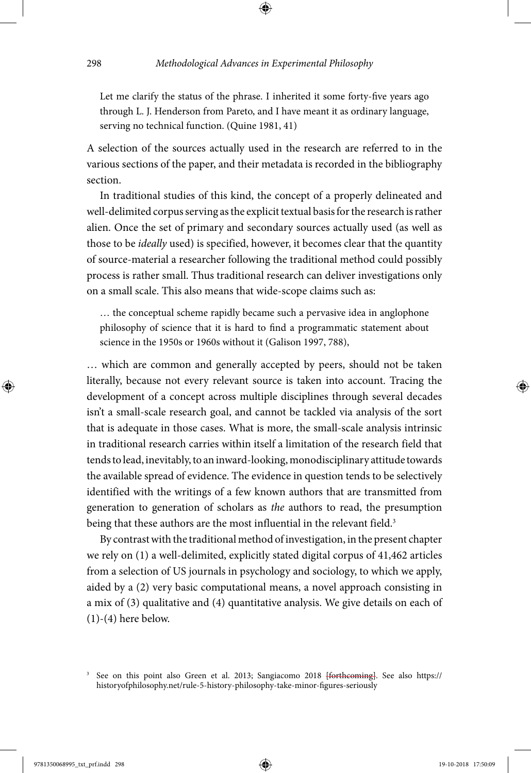Let me clarify the status of the phrase. I inherited it some forty-five years ago through L. J. Henderson from Pareto, and I have meant it as ordinary language, serving no technical function. (Quine 1981, 41)

A selection of the sources actually used in the research are referred to in the various sections of the paper, and their metadata is recorded in the bibliography section.

In traditional studies of this kind, the concept of a properly delineated and well-delimited corpus serving as the explicit textual basis for the research is rather alien. Once the set of primary and secondary sources actually used (as well as those to be *ideally* used) is specified, however, it becomes clear that the quantity of source-material a researcher following the traditional method could possibly process is rather small. Thus traditional research can deliver investigations only on a small scale. This also means that wide-scope claims such as:

… the conceptual scheme rapidly became such a pervasive idea in anglophone philosophy of science that it is hard to find a programmatic statement about science in the 1950s or 1960s without it (Galison 1997, 788),

… which are common and generally accepted by peers, should not be taken literally, because not every relevant source is taken into account. Tracing the development of a concept across multiple disciplines through several decades isn't a small-scale research goal, and cannot be tackled via analysis of the sort that is adequate in those cases. What is more, the small-scale analysis intrinsic in traditional research carries within itself a limitation of the research field that tends to lead, inevitably, to an inward-looking, monodisciplinary attitude towards the available spread of evidence. The evidence in question tends to be selectively identified with the writings of a few known authors that are transmitted from generation to generation of scholars as *the* authors to read, the presumption being that these authors are the most influential in the relevant field.<sup>3</sup>

By contrast with the traditional method of investigation, in the present chapter we rely on (1) a well-delimited, explicitly stated digital corpus of 41,462 articles from a selection of US journals in psychology and sociology, to which we apply, aided by a (2) very basic computational means, a novel approach consisting in a mix of (3) qualitative and (4) quantitative analysis. We give details on each of  $(1)-(4)$  here below.

⊕

<sup>3</sup> See on this point also Green et al. 2013; Sangiacomo 2018 [forthcoming]. See also https:// historyofphilosophy.net/rule-5-history-philosophy-take-minor-figures-seriously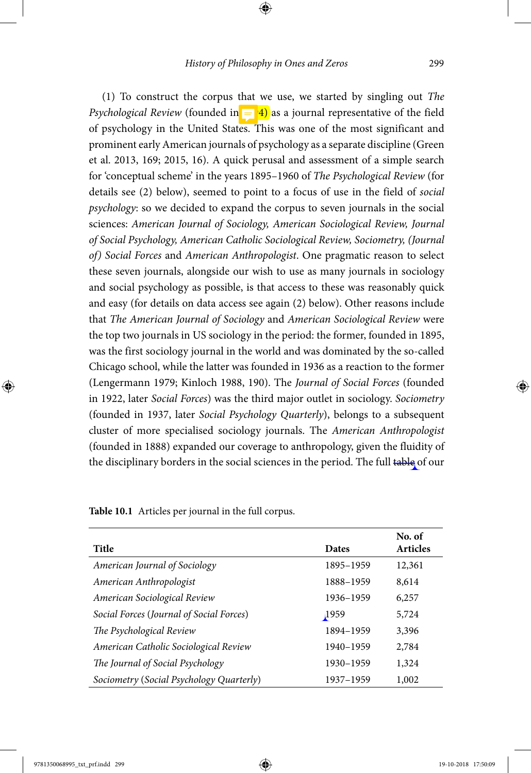(1) To construct the corpus that we use, we started by singling out *The Psychological Review* (founded in  $=$  4) as a journal representative of the field of psychology in the United States. This was one of the most significant and prominent early American journals of psychology as a separate discipline (Green et al. 2013, 169; 2015, 16). A quick perusal and assessment of a simple search for 'conceptual scheme' in the years 1895–1960 of *The Psychological Review* (for details see (2) below), seemed to point to a focus of use in the field of *social psychology*: so we decided to expand the corpus to seven journals in the social sciences: *American Journal of Sociology, American Sociological Review, Journal of Social Psychology, American Catholic Sociological Review, Sociometry, (Journal of) Social Forces* and *American Anthropologist*. One pragmatic reason to select these seven journals, alongside our wish to use as many journals in sociology and social psychology as possible, is that access to these was reasonably quick and easy (for details on data access see again (2) below). Other reasons include that *The American Journal of Sociology* and *American Sociological Review* were the top two journals in US sociology in the period: the former, founded in 1895, was the first sociology journal in the world and was dominated by the so-called Chicago school, while the latter was founded in 1936 as a reaction to the former (Lengermann 1979; Kinloch 1988, 190). The *Journal of Social Forces* (founded in 1922, later *Social Forces*) was the third major outlet in sociology. *Sociometry* (founded in 1937, later *Social Psychology Quarterly*), belongs to a subsequent cluster of more specialised sociology journals. The *American Anthropologist* (founded in 1888) expanded our coverage to anthropology, given the fluidity of the disciplinary borders in the social sciences in the period. The full table of our

|                                          |                 | No. of          |
|------------------------------------------|-----------------|-----------------|
| Title                                    | <b>Dates</b>    | <b>Articles</b> |
| American Journal of Sociology            | 1895-1959       | 12,361          |
| American Anthropologist                  | 1888-1959       | 8,614           |
| American Sociological Review             | 1936-1959       | 6,257           |
| Social Forces (Journal of Social Forces) | <sub>1959</sub> | 5,724           |
| The Psychological Review                 | 1894-1959       | 3,396           |
| American Catholic Sociological Review    | 1940-1959       | 2,784           |
| The Journal of Social Psychology         | 1930-1959       | 1,324           |
| Sociometry (Social Psychology Quarterly) | 1937-1959       | 1,002           |

**Table 10.1** Articles per journal in the full corpus.

⊕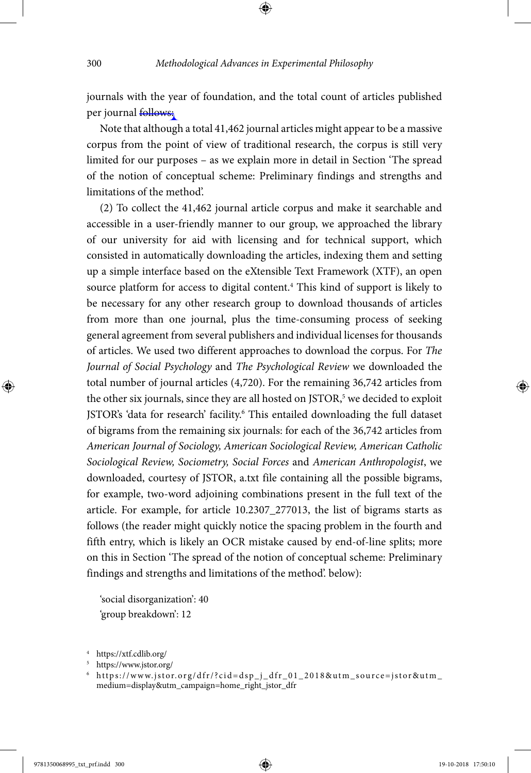journals with the year of foundation, and the total count of articles published per journal follows:

Note that although a total 41,462 journal articles might appear to be a massive corpus from the point of view of traditional research, the corpus is still very limited for our purposes – as we explain more in detail in Section 'The spread of the notion of conceptual scheme: Preliminary findings and strengths and limitations of the method'.

(2) To collect the 41,462 journal article corpus and make it searchable and accessible in a user-friendly manner to our group, we approached the library of our university for aid with licensing and for technical support, which consisted in automatically downloading the articles, indexing them and setting up a simple interface based on the eXtensible Text Framework (XTF), an open source platform for access to digital content.4 This kind of support is likely to be necessary for any other research group to download thousands of articles from more than one journal, plus the time-consuming process of seeking general agreement from several publishers and individual licenses for thousands of articles. We used two different approaches to download the corpus. For *The Journal of Social Psychology* and *The Psychological Review* we downloaded the total number of journal articles (4,720). For the remaining 36,742 articles from the other six journals, since they are all hosted on JSTOR,<sup>5</sup> we decided to exploit JSTOR's 'data for research' facility.6 This entailed downloading the full dataset of bigrams from the remaining six journals: for each of the 36,742 articles from *American Journal of Sociology, American Sociological Review, American Catholic Sociological Review, Sociometry, Social Forces* and *American Anthropologist*, we downloaded, courtesy of JSTOR, a.txt file containing all the possible bigrams, for example, two-word adjoining combinations present in the full text of the article. For example, for article 10.2307\_277013, the list of bigrams starts as follows (the reader might quickly notice the spacing problem in the fourth and fifth entry, which is likely an OCR mistake caused by end-of-line splits; more on this in Section 'The spread of the notion of conceptual scheme: Preliminary findings and strengths and limitations of the method'. below):

'social disorganization': 40 'group breakdown': 12

⊕

https://xtf.cdlib.org/

<sup>5</sup> https://www.jstor.org/

<sup>6</sup> https://www.jstor.org/dfr/?cid=dsp\_j\_dfr\_01\_2018&utm\_source=jstor&utm\_ medium=display&utm\_campaign=home\_right\_jstor\_dfr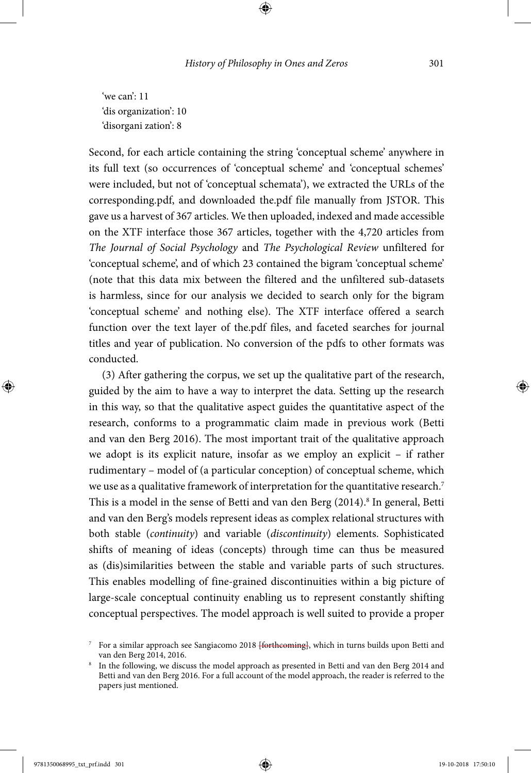'we can': 11 'dis organization': 10 'disorgani zation': 8

Second, for each article containing the string 'conceptual scheme' anywhere in its full text (so occurrences of 'conceptual scheme' and 'conceptual schemes' were included, but not of 'conceptual schemata'), we extracted the URLs of the corresponding.pdf, and downloaded the.pdf file manually from JSTOR. This gave us a harvest of 367 articles. We then uploaded, indexed and made accessible on the XTF interface those 367 articles, together with the 4,720 articles from *The Journal of Social Psychology* and *The Psychological Review* unfiltered for 'conceptual scheme', and of which 23 contained the bigram 'conceptual scheme' (note that this data mix between the filtered and the unfiltered sub-datasets is harmless, since for our analysis we decided to search only for the bigram 'conceptual scheme' and nothing else). The XTF interface offered a search function over the text layer of the.pdf files, and faceted searches for journal titles and year of publication. No conversion of the pdfs to other formats was conducted.

(3) After gathering the corpus, we set up the qualitative part of the research, guided by the aim to have a way to interpret the data. Setting up the research in this way, so that the qualitative aspect guides the quantitative aspect of the research, conforms to a programmatic claim made in previous work (Betti and van den Berg 2016). The most important trait of the qualitative approach we adopt is its explicit nature, insofar as we employ an explicit – if rather rudimentary – model of (a particular conception) of conceptual scheme, which we use as a qualitative framework of interpretation for the quantitative research.<sup>7</sup> This is a model in the sense of Betti and van den Berg (2014).<sup>8</sup> In general, Betti and van den Berg's models represent ideas as complex relational structures with both stable (*continuity*) and variable (*discontinuity*) elements. Sophisticated shifts of meaning of ideas (concepts) through time can thus be measured as (dis)similarities between the stable and variable parts of such structures. This enables modelling of fine-grained discontinuities within a big picture of large-scale conceptual continuity enabling us to represent constantly shifting conceptual perspectives. The model approach is well suited to provide a proper

9781350068995\_txt\_prf.indd 301 19-10-2018 17:50:10

⊕

<sup>&</sup>lt;sup>7</sup> For a similar approach see Sangiacomo 2018 <del>[forthcoming]</del>, which in turns builds upon Betti and van den Berg 2014, 2016.

<sup>&</sup>lt;sup>8</sup> In the following, we discuss the model approach as presented in Betti and van den Berg 2014 and Betti and van den Berg 2016. For a full account of the model approach, the reader is referred to the papers just mentioned.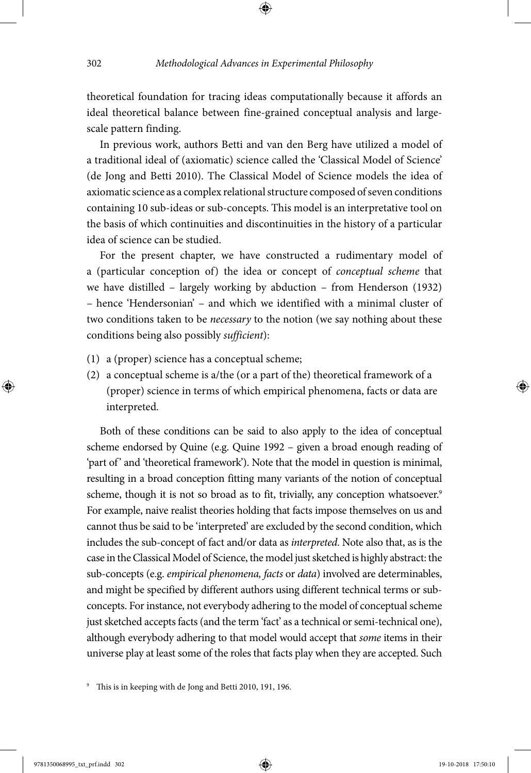theoretical foundation for tracing ideas computationally because it affords an ideal theoretical balance between fine-grained conceptual analysis and largescale pattern finding.

In previous work, authors Betti and van den Berg have utilized a model of a traditional ideal of (axiomatic) science called the 'Classical Model of Science' (de Jong and Betti 2010). The Classical Model of Science models the idea of axiomatic science as a complex relational structure composed of seven conditions containing 10 sub-ideas or sub-concepts. This model is an interpretative tool on the basis of which continuities and discontinuities in the history of a particular idea of science can be studied.

For the present chapter, we have constructed a rudimentary model of a (particular conception of) the idea or concept of *conceptual scheme* that we have distilled – largely working by abduction – from Henderson (1932) – hence 'Hendersonian' – and which we identified with a minimal cluster of two conditions taken to be *necessary* to the notion (we say nothing about these conditions being also possibly *sufficient*):

- (1) a (proper) science has a conceptual scheme;
- (2) a conceptual scheme is a/the (or a part of the) theoretical framework of a (proper) science in terms of which empirical phenomena, facts or data are interpreted.

Both of these conditions can be said to also apply to the idea of conceptual scheme endorsed by Quine (e.g. Quine 1992 – given a broad enough reading of 'part of' and 'theoretical framework'). Note that the model in question is minimal, resulting in a broad conception fitting many variants of the notion of conceptual scheme, though it is not so broad as to fit, trivially, any conception whatsoever.<sup>9</sup> For example, naive realist theories holding that facts impose themselves on us and cannot thus be said to be 'interpreted' are excluded by the second condition, which includes the sub-concept of fact and/or data as *interpreted*. Note also that, as is the case in the Classical Model of Science, the model just sketched is highly abstract: the sub-concepts (e.g. *empirical phenomena, facts* or *data*) involved are determinables, and might be specified by different authors using different technical terms or subconcepts. For instance, not everybody adhering to the model of conceptual scheme just sketched accepts facts (and the term 'fact' as a technical or semi-technical one), although everybody adhering to that model would accept that *some* items in their universe play at least some of the roles that facts play when they are accepted. Such

<sup>9</sup> This is in keeping with de Jong and Betti 2010, 191, 196.

⊕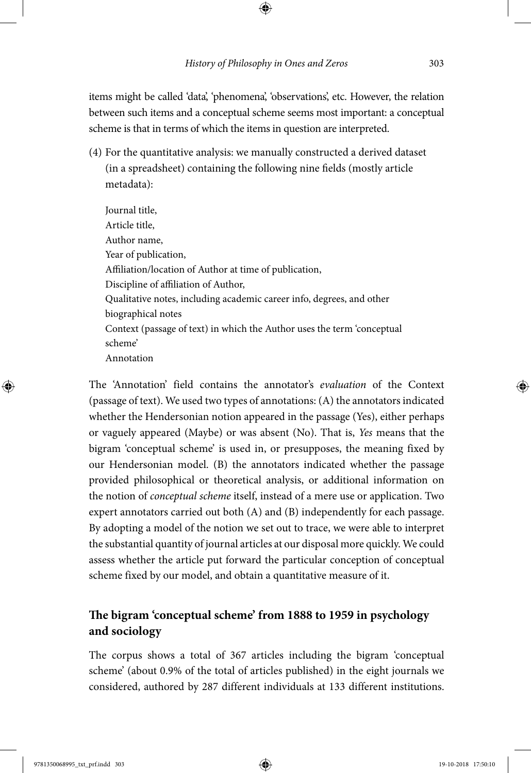items might be called 'data', 'phenomena', 'observations', etc. However, the relation between such items and a conceptual scheme seems most important: a conceptual scheme is that in terms of which the items in question are interpreted.

(4) For the quantitative analysis: we manually constructed a derived dataset (in a spreadsheet) containing the following nine fields (mostly article metadata):

Journal title, Article title, Author name, Year of publication, Affiliation/location of Author at time of publication, Discipline of affiliation of Author, Qualitative notes, including academic career info, degrees, and other biographical notes Context (passage of text) in which the Author uses the term 'conceptual scheme' Annotation

The 'Annotation' field contains the annotator's *evaluation* of the Context (passage of text). We used two types of annotations: (A) the annotators indicated whether the Hendersonian notion appeared in the passage (Yes), either perhaps or vaguely appeared (Maybe) or was absent (No). That is, *Yes* means that the bigram 'conceptual scheme' is used in, or presupposes, the meaning fixed by our Hendersonian model. (B) the annotators indicated whether the passage provided philosophical or theoretical analysis, or additional information on the notion of *conceptual scheme* itself, instead of a mere use or application. Two expert annotators carried out both (A) and (B) independently for each passage. By adopting a model of the notion we set out to trace, we were able to interpret the substantial quantity of journal articles at our disposal more quickly. We could assess whether the article put forward the particular conception of conceptual scheme fixed by our model, and obtain a quantitative measure of it.

### **The bigram 'conceptual scheme' from 1888 to 1959 in psychology and sociology**

The corpus shows a total of 367 articles including the bigram 'conceptual scheme' (about 0.9% of the total of articles published) in the eight journals we considered, authored by 287 different individuals at 133 different institutions.

9781350068995\_txt\_prf.indd 303 19-10-2018 17:50:10

⊕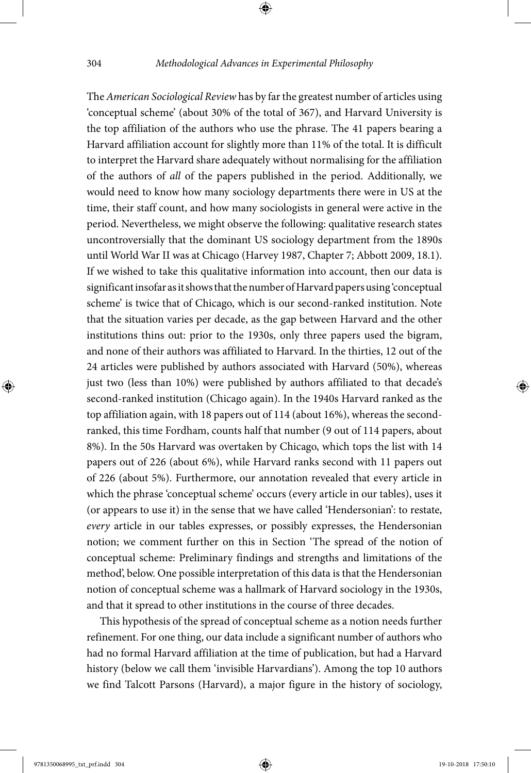#### 304 *Methodological Advances in Experimental Philosophy*

⊕

The *American Sociological Review* has by far the greatest number of articles using 'conceptual scheme' (about 30% of the total of 367), and Harvard University is the top affiliation of the authors who use the phrase. The 41 papers bearing a Harvard affiliation account for slightly more than 11% of the total. It is difficult to interpret the Harvard share adequately without normalising for the affiliation of the authors of *all* of the papers published in the period. Additionally, we would need to know how many sociology departments there were in US at the time, their staff count, and how many sociologists in general were active in the period. Nevertheless, we might observe the following: qualitative research states uncontroversially that the dominant US sociology department from the 1890s until World War II was at Chicago (Harvey 1987, Chapter 7; Abbott 2009, 18.1). If we wished to take this qualitative information into account, then our data is significant insofar as it shows that the number of Harvard papers using 'conceptual scheme' is twice that of Chicago, which is our second-ranked institution. Note that the situation varies per decade, as the gap between Harvard and the other institutions thins out: prior to the 1930s, only three papers used the bigram, and none of their authors was affiliated to Harvard. In the thirties, 12 out of the 24 articles were published by authors associated with Harvard (50%), whereas just two (less than 10%) were published by authors affiliated to that decade's second-ranked institution (Chicago again). In the 1940s Harvard ranked as the top affiliation again, with 18 papers out of 114 (about 16%), whereas the secondranked, this time Fordham, counts half that number (9 out of 114 papers, about 8%). In the 50s Harvard was overtaken by Chicago, which tops the list with 14 papers out of 226 (about 6%), while Harvard ranks second with 11 papers out of 226 (about 5%). Furthermore, our annotation revealed that every article in which the phrase 'conceptual scheme' occurs (every article in our tables), uses it (or appears to use it) in the sense that we have called 'Hendersonian': to restate, *every* article in our tables expresses, or possibly expresses, the Hendersonian notion; we comment further on this in Section 'The spread of the notion of conceptual scheme: Preliminary findings and strengths and limitations of the method', below. One possible interpretation of this data is that the Hendersonian notion of conceptual scheme was a hallmark of Harvard sociology in the 1930s, and that it spread to other institutions in the course of three decades.

This hypothesis of the spread of conceptual scheme as a notion needs further refinement. For one thing, our data include a significant number of authors who had no formal Harvard affiliation at the time of publication, but had a Harvard history (below we call them 'invisible Harvardians'). Among the top 10 authors we find Talcott Parsons (Harvard), a major figure in the history of sociology,

9781350068995\_txt\_prf.indd 304 19-10-2018 17:50:10

⊕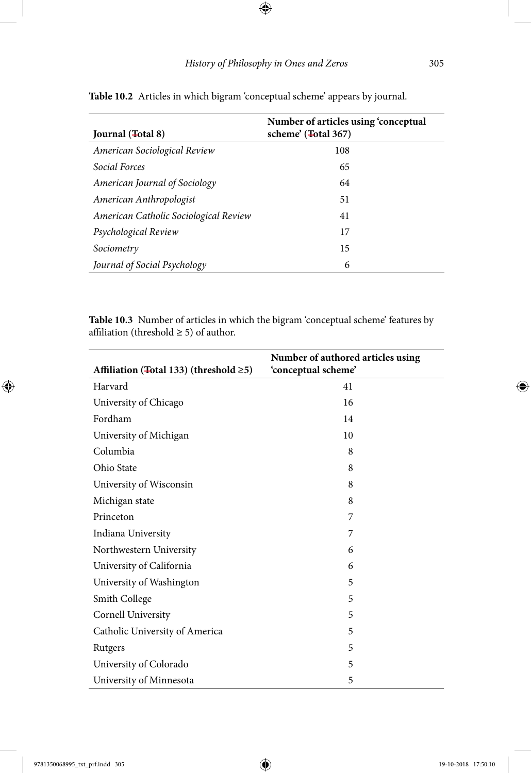|                                       | Number of articles using 'conceptual |
|---------------------------------------|--------------------------------------|
| Journal ( <del>T</del> otal 8)        | scheme' ( <del>T</del> otal 367)     |
| American Sociological Review          | 108                                  |
| Social Forces                         | 65                                   |
| American Journal of Sociology         | 64                                   |
| American Anthropologist               | 51                                   |
| American Catholic Sociological Review | 41                                   |
| Psychological Review                  | 17                                   |
| Sociometry                            | 15                                   |
| Journal of Social Psychology          | 6                                    |

**Table 10.2** Articles in which bigram 'conceptual scheme' appears by journal.

**Table 10.3** Number of articles in which the bigram 'conceptual scheme' features by affiliation (threshold **≥** 5) of author.

| Affiliation (Total 133) (threshold $\geq 5$ ) | Number of authored articles using<br>'conceptual scheme' |
|-----------------------------------------------|----------------------------------------------------------|
|                                               |                                                          |
| Harvard                                       | 41                                                       |
| University of Chicago                         | 16                                                       |
| Fordham                                       | 14                                                       |
| University of Michigan                        | 10                                                       |
| Columbia                                      | 8                                                        |
| Ohio State                                    | 8                                                        |
| University of Wisconsin                       | 8                                                        |
| Michigan state                                | 8                                                        |
| Princeton                                     | 7                                                        |
| Indiana University                            | 7                                                        |
| Northwestern University                       | 6                                                        |
| University of California                      | 6                                                        |
| University of Washington                      | 5                                                        |
| Smith College                                 | 5                                                        |
| Cornell University                            | 5                                                        |
| Catholic University of America                | 5                                                        |
| Rutgers                                       | 5                                                        |
| University of Colorado                        | 5                                                        |
| University of Minnesota                       | 5                                                        |

 $\bigoplus$ 

 $\bigoplus$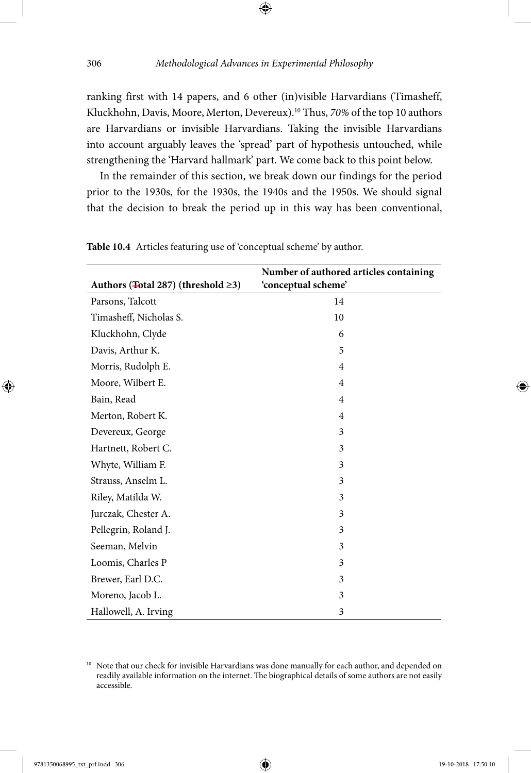#### 306 *Methodological Advances in Experimental Philosophy*

 $\bigoplus$ 

ranking first with 14 papers, and 6 other (in)visible Harvardians (Timasheff, Kluckhohn, Davis, Moore, Merton, Devereux).10 Thus, *70%* of the top 10 authors are Harvardians or invisible Harvardians. Taking the invisible Harvardians into account arguably leaves the 'spread' part of hypothesis untouched, while strengthening the 'Harvard hallmark' part. We come back to this point below.

In the remainder of this section, we break down our findings for the period prior to the 1930s, for the 1930s, the 1940s and the 1950s. We should signal that the decision to break the period up in this way has been conventional,

|                                          | Number of authored articles containing |
|------------------------------------------|----------------------------------------|
| Authors (Fotal 287) (threshold $\geq$ 3) | 'conceptual scheme'                    |
| Parsons, Talcott                         | 14                                     |
| Timasheff, Nicholas S.                   | 10                                     |
| Kluckhohn, Clyde                         | 6                                      |
| Davis, Arthur K.                         | 5                                      |
| Morris, Rudolph E.                       | $\overline{4}$                         |
| Moore, Wilbert E.                        | $\overline{4}$                         |
| Bain, Read                               | $\overline{4}$                         |
| Merton, Robert K.                        | 4                                      |
| Devereux, George                         | 3                                      |
| Hartnett, Robert C.                      | 3                                      |
| Whyte, William F.                        | 3                                      |
| Strauss, Anselm L.                       | 3                                      |
| Riley, Matilda W.                        | 3                                      |
| Jurczak, Chester A.                      | 3                                      |
| Pellegrin, Roland J.                     | 3                                      |
| Seeman, Melvin                           | 3                                      |
| Loomis, Charles P                        | 3                                      |
| Brewer, Earl D.C.                        | 3                                      |
| Moreno, Jacob L.                         | 3                                      |
| Hallowell, A. Irving                     | 3                                      |

**Table 10.4** Articles featuring use of 'conceptual scheme' by author.

⊕

◈

<sup>&</sup>lt;sup>10</sup> Note that our check for invisible Harvardians was done manually for each author, and depended on readily available information on the internet. The biographical details of some authors are not easily accessible.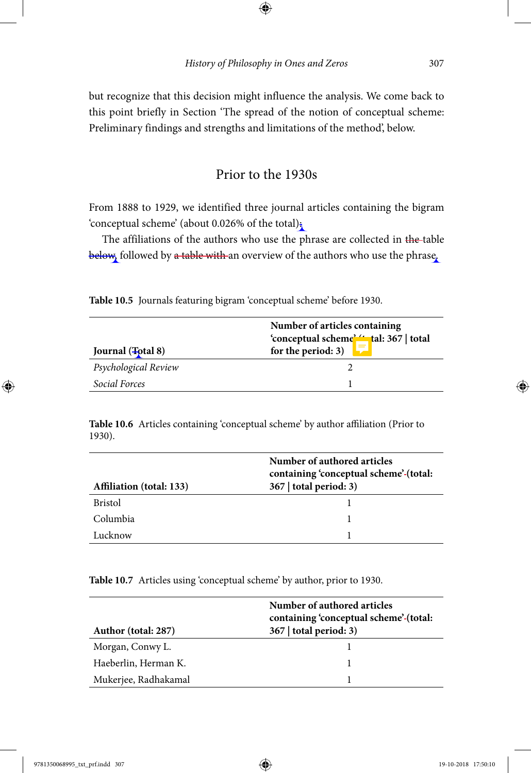but recognize that this decision might influence the analysis. We come back to this point briefly in Section 'The spread of the notion of conceptual scheme: Preliminary findings and strengths and limitations of the method', below.

### Prior to the 1930s

From 1888 to 1929, we identified three journal articles containing the bigram 'conceptual scheme' (about 0.026% of the total):

The affiliations of the authors who use the phrase are collected in the table below, followed by a table with an overview of the authors who use the phrase.

**Table 10.5** Journals featuring bigram 'conceptual scheme' before 1930.

|                                | Number of articles containing<br>'conceptual scheme' $\left  \frac{1}{2} \right $ tal: 367   total |
|--------------------------------|----------------------------------------------------------------------------------------------------|
| Journal ( <del>T</del> otal 8) | for the period: $3)$                                                                               |
| Psychological Review           |                                                                                                    |
| Social Forces                  |                                                                                                    |

**Table 10.6** Articles containing 'conceptual scheme' by author affiliation (Prior to 1930).

| <b>Affiliation</b> (total: 133) | Number of authored articles<br>containing 'conceptual scheme'-(total:<br>$367$   total period: 3) |
|---------------------------------|---------------------------------------------------------------------------------------------------|
| <b>Bristol</b>                  |                                                                                                   |
| Columbia                        |                                                                                                   |
| Lucknow                         |                                                                                                   |

**Table 10.7** Articles using 'conceptual scheme' by author, prior to 1930.

| Author (total: 287)  | Number of authored articles<br>containing 'conceptual scheme'-(total:<br>$367$ total period: 3) |
|----------------------|-------------------------------------------------------------------------------------------------|
| Morgan, Conwy L.     |                                                                                                 |
| Haeberlin, Herman K. |                                                                                                 |
| Mukerjee, Radhakamal |                                                                                                 |

◈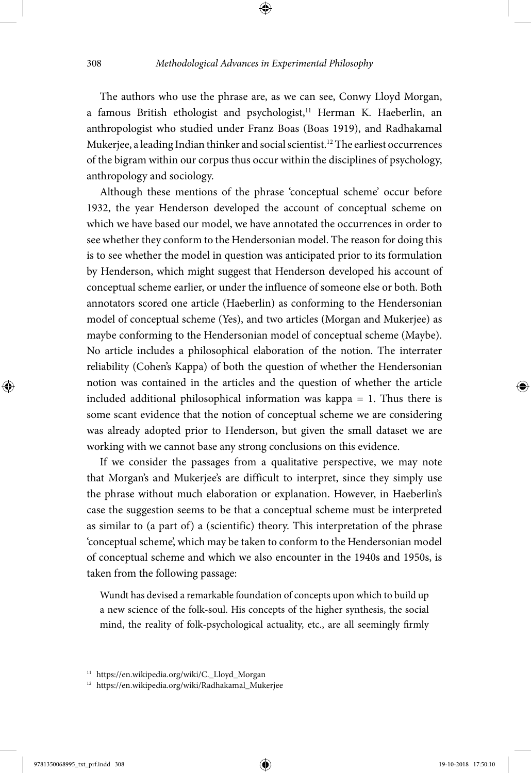The authors who use the phrase are, as we can see, Conwy Lloyd Morgan, a famous British ethologist and psychologist,<sup>11</sup> Herman K. Haeberlin, an anthropologist who studied under Franz Boas (Boas 1919), and Radhakamal Mukerjee, a leading Indian thinker and social scientist.<sup>12</sup> The earliest occurrences of the bigram within our corpus thus occur within the disciplines of psychology, anthropology and sociology.

Although these mentions of the phrase 'conceptual scheme' occur before 1932, the year Henderson developed the account of conceptual scheme on which we have based our model, we have annotated the occurrences in order to see whether they conform to the Hendersonian model. The reason for doing this is to see whether the model in question was anticipated prior to its formulation by Henderson, which might suggest that Henderson developed his account of conceptual scheme earlier, or under the influence of someone else or both. Both annotators scored one article (Haeberlin) as conforming to the Hendersonian model of conceptual scheme (Yes), and two articles (Morgan and Mukerjee) as maybe conforming to the Hendersonian model of conceptual scheme (Maybe). No article includes a philosophical elaboration of the notion. The interrater reliability (Cohen's Kappa) of both the question of whether the Hendersonian notion was contained in the articles and the question of whether the article included additional philosophical information was kappa = 1. Thus there is some scant evidence that the notion of conceptual scheme we are considering was already adopted prior to Henderson, but given the small dataset we are working with we cannot base any strong conclusions on this evidence.

If we consider the passages from a qualitative perspective, we may note that Morgan's and Mukerjee's are difficult to interpret, since they simply use the phrase without much elaboration or explanation. However, in Haeberlin's case the suggestion seems to be that a conceptual scheme must be interpreted as similar to (a part of) a (scientific) theory. This interpretation of the phrase 'conceptual scheme', which may be taken to conform to the Hendersonian model of conceptual scheme and which we also encounter in the 1940s and 1950s, is taken from the following passage:

Wundt has devised a remarkable foundation of concepts upon which to build up a new science of the folk-soul. His concepts of the higher synthesis, the social mind, the reality of folk-psychological actuality, etc., are all seemingly firmly

⊕

<sup>11</sup> https://en.wikipedia.org/wiki/C.\_Lloyd\_Morgan

<sup>12</sup> https://en.wikipedia.org/wiki/Radhakamal\_Mukerjee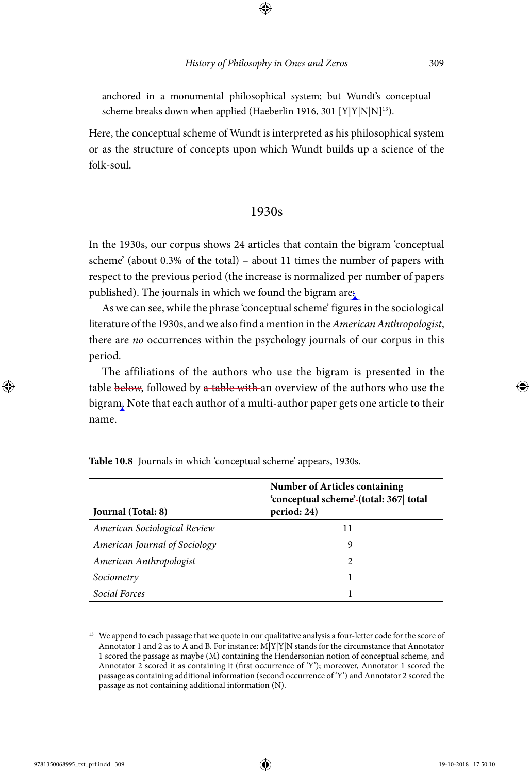anchored in a monumental philosophical system; but Wundt's conceptual scheme breaks down when applied (Haeberlin 1916, 301 [Y|Y|N|N]<sup>13</sup>).

Here, the conceptual scheme of Wundt is interpreted as his philosophical system or as the structure of concepts upon which Wundt builds up a science of the folk-soul.

#### 1930s

In the 1930s, our corpus shows 24 articles that contain the bigram 'conceptual scheme' (about 0.3% of the total) – about 11 times the number of papers with respect to the previous period (the increase is normalized per number of papers published). The journals in which we found the bigram are.

As we can see, while the phrase 'conceptual scheme' figures in the sociological literature of the 1930s, and we also find a mention in the *American Anthropologist*, there are *no* occurrences within the psychology journals of our corpus in this period.

The affiliations of the authors who use the bigram is presented in the table below, followed by a table with an overview of the authors who use the bigram. Note that each author of a multi-author paper gets one article to their name.

| Journal (Total: 8)            | <b>Number of Articles containing</b><br>'conceptual scheme'-(total: 367 total<br>period: 24) |
|-------------------------------|----------------------------------------------------------------------------------------------|
| American Sociological Review  | 11                                                                                           |
| American Journal of Sociology | 9                                                                                            |
| American Anthropologist       | 2                                                                                            |
| Sociometry                    |                                                                                              |
| Social Forces                 |                                                                                              |

**Table 10.8** Journals in which 'conceptual scheme' appears, 1930s.

⊕

<sup>&</sup>lt;sup>13</sup> We append to each passage that we quote in our qualitative analysis a four-letter code for the score of Annotator 1 and 2 as to A and B. For instance:  $M|Y|N$  stands for the circumstance that Annotator 1 scored the passage as maybe (M) containing the Hendersonian notion of conceptual scheme, and Annotator 2 scored it as containing it (first occurrence of 'Y'); moreover, Annotator 1 scored the passage as containing additional information (second occurrence of 'Y') and Annotator 2 scored the passage as not containing additional information (N).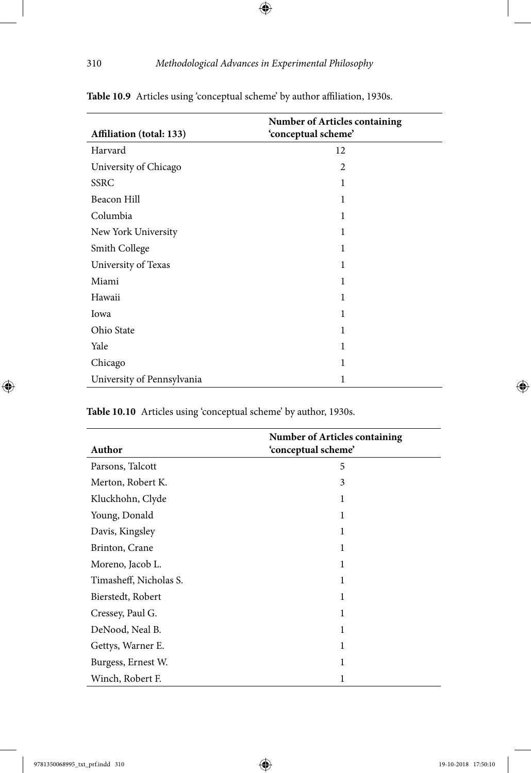### 310 *Methodological Advances in Experimental Philosophy*

|                            | <b>Number of Articles containing</b> |
|----------------------------|--------------------------------------|
| Affiliation (total: 133)   | 'conceptual scheme'                  |
| Harvard                    | 12                                   |
| University of Chicago      | 2                                    |
| <b>SSRC</b>                | 1                                    |
| Beacon Hill                | 1                                    |
| Columbia                   | 1                                    |
| New York University        | 1                                    |
| Smith College              | 1                                    |
| University of Texas        | 1                                    |
| Miami                      | 1                                    |
| Hawaii                     | 1                                    |
| Iowa                       | 1                                    |
| Ohio State                 | 1                                    |
| Yale                       | 1                                    |
| Chicago                    | 1                                    |
| University of Pennsylvania | 1                                    |

Table 10.9 Articles using 'conceptual scheme' by author affiliation, 1930s.

 $\bigoplus$ 

**Table 10.10** Articles using 'conceptual scheme' by author, 1930s.

| Author                 | <b>Number of Articles containing</b><br>'conceptual scheme' |
|------------------------|-------------------------------------------------------------|
| Parsons, Talcott       | 5                                                           |
| Merton, Robert K.      | 3                                                           |
| Kluckhohn, Clyde       | 1                                                           |
| Young, Donald          | 1                                                           |
| Davis, Kingsley        | 1                                                           |
| Brinton, Crane         | 1                                                           |
| Moreno, Jacob L.       | 1                                                           |
| Timasheff, Nicholas S. | 1                                                           |
| Bierstedt, Robert      | 1                                                           |
| Cressey, Paul G.       | 1                                                           |
| DeNood, Neal B.        | 1                                                           |
| Gettys, Warner E.      |                                                             |
| Burgess, Ernest W.     | 1                                                           |
| Winch, Robert F.       | 1                                                           |

9781350068995\_txt\_prf.indd 310 19-10-2018 17:50:10

 $\bigoplus$ 

 $\bigoplus$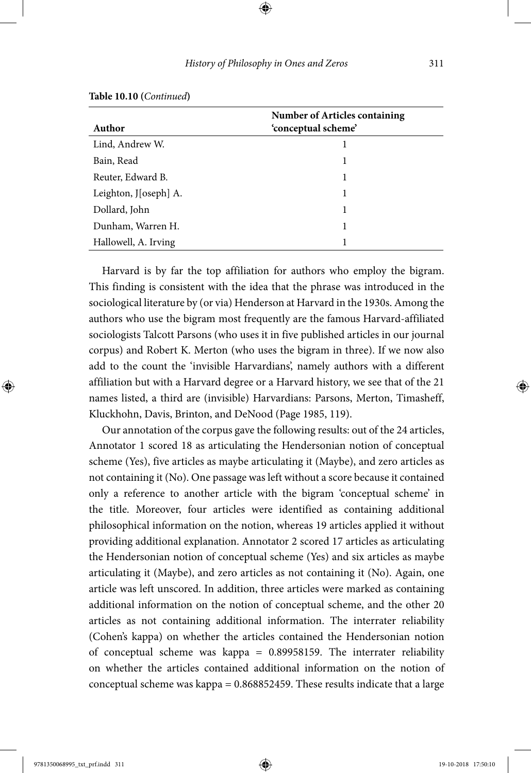| Author                | Number of Articles containing<br>'conceptual scheme' |
|-----------------------|------------------------------------------------------|
| Lind, Andrew W.       |                                                      |
| Bain, Read            |                                                      |
| Reuter, Edward B.     | 1                                                    |
| Leighton, J[oseph] A. | 1                                                    |
| Dollard, John         | 1                                                    |
| Dunham, Warren H.     |                                                      |
| Hallowell, A. Irving  |                                                      |

#### **Table 10.10 (***Continued***)**

Harvard is by far the top affiliation for authors who employ the bigram. This finding is consistent with the idea that the phrase was introduced in the sociological literature by (or via) Henderson at Harvard in the 1930s. Among the authors who use the bigram most frequently are the famous Harvard-affiliated sociologists Talcott Parsons (who uses it in five published articles in our journal corpus) and Robert K. Merton (who uses the bigram in three). If we now also add to the count the 'invisible Harvardians', namely authors with a different affiliation but with a Harvard degree or a Harvard history, we see that of the 21 names listed, a third are (invisible) Harvardians: Parsons, Merton, Timasheff, Kluckhohn, Davis, Brinton, and DeNood (Page 1985, 119).

Our annotation of the corpus gave the following results: out of the 24 articles, Annotator 1 scored 18 as articulating the Hendersonian notion of conceptual scheme (Yes), five articles as maybe articulating it (Maybe), and zero articles as not containing it (No). One passage was left without a score because it contained only a reference to another article with the bigram 'conceptual scheme' in the title. Moreover, four articles were identified as containing additional philosophical information on the notion, whereas 19 articles applied it without providing additional explanation. Annotator 2 scored 17 articles as articulating the Hendersonian notion of conceptual scheme (Yes) and six articles as maybe articulating it (Maybe), and zero articles as not containing it (No). Again, one article was left unscored. In addition, three articles were marked as containing additional information on the notion of conceptual scheme, and the other 20 articles as not containing additional information. The interrater reliability (Cohen's kappa) on whether the articles contained the Hendersonian notion of conceptual scheme was kappa = 0.89958159. The interrater reliability on whether the articles contained additional information on the notion of conceptual scheme was kappa = 0.868852459. These results indicate that a large

⊕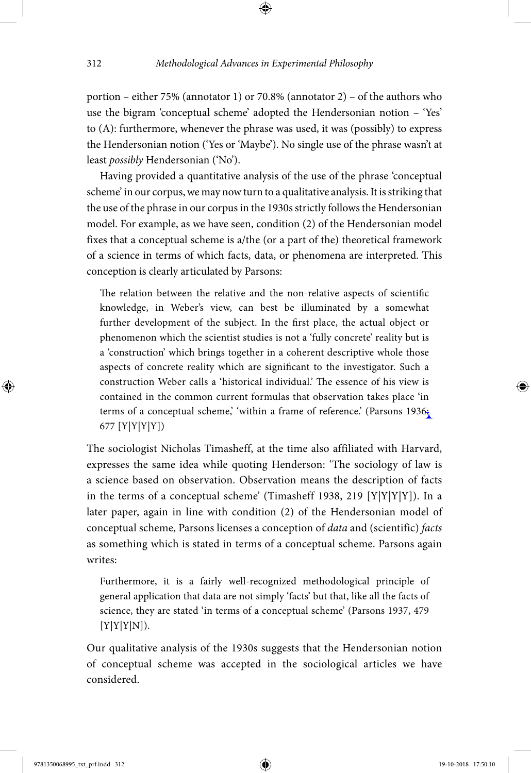portion – either 75% (annotator 1) or 70.8% (annotator 2) – of the authors who use the bigram 'conceptual scheme' adopted the Hendersonian notion – 'Yes' to (A): furthermore, whenever the phrase was used, it was (possibly) to express the Hendersonian notion ('Yes or 'Maybe'). No single use of the phrase wasn't at least *possibly* Hendersonian ('No').

 $\bigoplus$ 

Having provided a quantitative analysis of the use of the phrase 'conceptual scheme' in our corpus, we may now turn to a qualitative analysis. It is striking that the use of the phrase in our corpus in the 1930s strictly follows the Hendersonian model. For example, as we have seen, condition (2) of the Hendersonian model fixes that a conceptual scheme is a/the (or a part of the) theoretical framework of a science in terms of which facts, data, or phenomena are interpreted. This conception is clearly articulated by Parsons:

The relation between the relative and the non-relative aspects of scientific knowledge, in Weber's view, can best be illuminated by a somewhat further development of the subject. In the first place, the actual object or phenomenon which the scientist studies is not a 'fully concrete' reality but is a 'construction' which brings together in a coherent descriptive whole those aspects of concrete reality which are significant to the investigator. Such a construction Weber calls a 'historical individual.' The essence of his view is contained in the common current formulas that observation takes place 'in terms of a conceptual scheme,' 'within a frame of reference.' (Parsons 1936; 677 [Y|Y|Y|Y])

The sociologist Nicholas Timasheff, at the time also affiliated with Harvard, expresses the same idea while quoting Henderson: 'The sociology of law is a science based on observation. Observation means the description of facts in the terms of a conceptual scheme' (Timasheff 1938, 219 [Y|Y|Y|Y]). In a later paper, again in line with condition (2) of the Hendersonian model of conceptual scheme, Parsons licenses a conception of *data* and (scientific) *facts* as something which is stated in terms of a conceptual scheme. Parsons again writes:

Furthermore, it is a fairly well-recognized methodological principle of general application that data are not simply 'facts' but that, like all the facts of science, they are stated 'in terms of a conceptual scheme' (Parsons 1937, 479  $[Y|Y|Y|N]).$ 

Our qualitative analysis of the 1930s suggests that the Hendersonian notion of conceptual scheme was accepted in the sociological articles we have considered.

⊕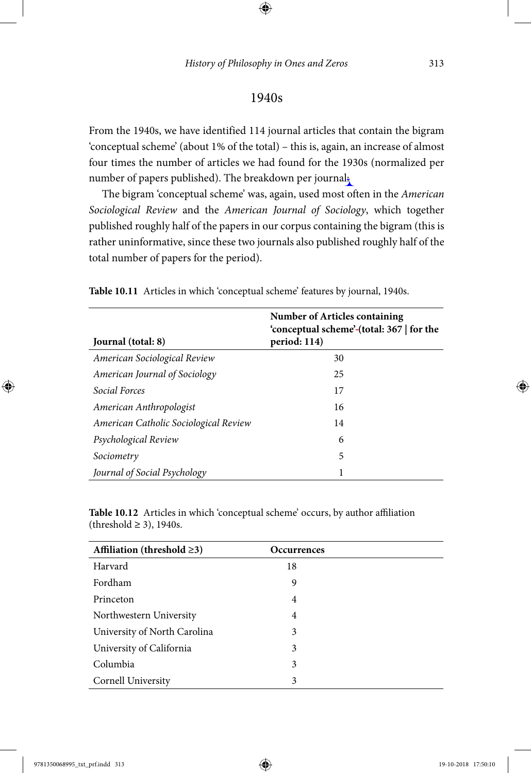### 1940s

From the 1940s, we have identified 114 journal articles that contain the bigram 'conceptual scheme' (about 1% of the total) – this is, again, an increase of almost four times the number of articles we had found for the 1930s (normalized per number of papers published). The breakdown per journal:

The bigram 'conceptual scheme' was, again, used most often in the *American Sociological Review* and the *American Journal of Sociology*, which together published roughly half of the papers in our corpus containing the bigram (this is rather uninformative, since these two journals also published roughly half of the total number of papers for the period).

| Journal (total: 8)                    | <b>Number of Articles containing</b><br>'conceptual scheme'-(total: 367   for the<br>period: 114) |
|---------------------------------------|---------------------------------------------------------------------------------------------------|
| American Sociological Review          | 30                                                                                                |
| American Journal of Sociology         | 25                                                                                                |
| Social Forces                         | 17                                                                                                |
| American Anthropologist               | 16                                                                                                |
| American Catholic Sociological Review | 14                                                                                                |
| Psychological Review                  | 6                                                                                                 |
| Sociometry                            | 5                                                                                                 |
| Journal of Social Psychology          |                                                                                                   |

**Table 10.11** Articles in which 'conceptual scheme' features by journal, 1940s.

**Table 10.12** Articles in which 'conceptual scheme' occurs, by author affiliation (threshold **≥** 3), 1940s.

| Affiliation (threshold $\geq 3$ ) | <b>Occurrences</b> |
|-----------------------------------|--------------------|
| Harvard                           | 18                 |
| Fordham                           | 9                  |
| Princeton                         | 4                  |
| Northwestern University           | 4                  |
| University of North Carolina      | 3                  |
| University of California          | 3                  |
| Columbia                          | 3                  |
| Cornell University                | 3                  |

⊕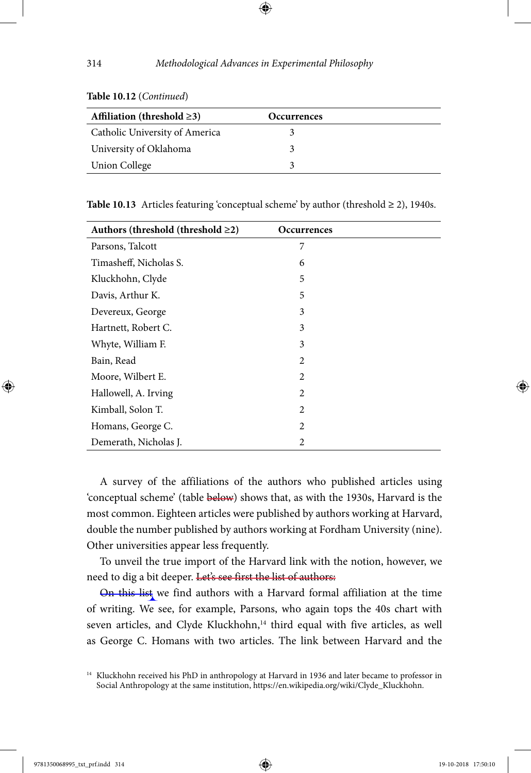#### 314 *Methodological Advances in Experimental Philosophy*

| Table 10.12 (Continued) |  |
|-------------------------|--|
|                         |  |

| Affiliation (threshold $\geq$ 3) | <b>Occurrences</b> |  |
|----------------------------------|--------------------|--|
| Catholic University of America   |                    |  |
| University of Oklahoma           |                    |  |
| <b>Union College</b>             |                    |  |

⊕

| Authors (threshold (threshold $\geq$ 2) | Occurrences |  |
|-----------------------------------------|-------------|--|
| Parsons, Talcott                        | 7           |  |
| Timasheff, Nicholas S.                  | 6           |  |
| Kluckhohn, Clyde                        | 5           |  |
| Davis, Arthur K.                        | 5           |  |
| Devereux, George                        | 3           |  |
| Hartnett, Robert C.                     | 3           |  |
| Whyte, William F.                       | 3           |  |
| Bain, Read                              | 2           |  |
| Moore, Wilbert E.                       | 2           |  |
| Hallowell, A. Irving                    | 2           |  |
| Kimball, Solon T.                       | 2           |  |
| Homans, George C.                       | 2           |  |
| Demerath, Nicholas J.                   | 2           |  |

**Table 10.13** Articles featuring 'conceptual scheme' by author (threshold ≥ 2), 1940s.

A survey of the affiliations of the authors who published articles using 'conceptual scheme' (table below) shows that, as with the 1930s, Harvard is the most common. Eighteen articles were published by authors working at Harvard, double the number published by authors working at Fordham University (nine). Other universities appear less frequently.

To unveil the true import of the Harvard link with the notion, however, we need to dig a bit deeper. Let's see first the list of authors:

On this list we find authors with a Harvard formal affiliation at the time of writing. We see, for example, Parsons, who again tops the 40s chart with seven articles, and Clyde Kluckhohn,<sup>14</sup> third equal with five articles, as well as George C. Homans with two articles. The link between Harvard and the

⊕

<sup>&</sup>lt;sup>14</sup> Kluckhohn received his PhD in anthropology at Harvard in 1936 and later became to professor in Social Anthropology at the same institution, https://en.wikipedia.org/wiki/Clyde\_Kluckhohn.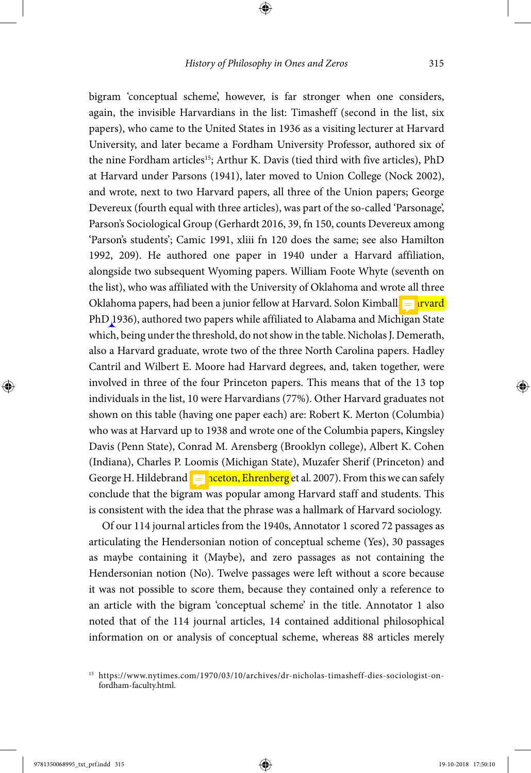bigram 'conceptual scheme', however, is far stronger when one considers, again, the invisible Harvardians in the list: Timasheff (second in the list, six papers), who came to the United States in 1936 as a visiting lecturer at Harvard University, and later became a Fordham University Professor, authored six of the nine Fordham articles<sup>15</sup>; Arthur K. Davis (tied third with five articles), PhD at Harvard under Parsons (1941), later moved to Union College (Nock 2002), and wrote, next to two Harvard papers, all three of the Union papers; George Devereux (fourth equal with three articles), was part of the so-called 'Parsonage', Parson's Sociological Group (Gerhardt 2016, 39, fn 150, counts Devereux among 'Parson's students'; Camic 1991, xliii fn 120 does the same; see also Hamilton 1992, 209). He authored one paper in 1940 under a Harvard affiliation, alongside two subsequent Wyoming papers. William Foote Whyte (seventh on the list), who was affiliated with the University of Oklahoma and wrote all three Oklahoma papers, had been a junior fellow at Harvard. Solon Kimball,  $=$  *trvard* PhD 1936), authored two papers while affiliated to Alabama and Michigan State which, being under the threshold, do not show in the table. Nicholas J. Demerath, also a Harvard graduate, wrote two of the three North Carolina papers. Hadley Cantril and Wilbert E. Moore had Harvard degrees, and, taken together, were involved in three of the four Princeton papers. This means that of the 13 top individuals in the list, 10 were Harvardians (77%). Other Harvard graduates not shown on this table (having one paper each) are: Robert K. Merton (Columbia) who was at Harvard up to 1938 and wrote one of the Columbia papers, Kingsley Davis (Penn State), Conrad M. Arensberg (Brooklyn college), Albert K. Cohen (Indiana), Charles P. Loomis (Michigan State), Muzafer Sherif (Princeton) and George H. Hildebrand  $=$  **aceton, Ehrenberg** et al. 2007). From this we can safely conclude that the bigram was popular among Harvard staff and students. This is consistent with the idea that the phrase was a hallmark of Harvard sociology.

Of our 114 journal articles from the 1940s, Annotator 1 scored 72 passages as articulating the Hendersonian notion of conceptual scheme (Yes), 30 passages as maybe containing it (Maybe), and zero passages as not containing the Hendersonian notion (No). Twelve passages were left without a score because it was not possible to score them, because they contained only a reference to an article with the bigram 'conceptual scheme' in the title. Annotator 1 also noted that of the 114 journal articles, 14 contained additional philosophical information on or analysis of conceptual scheme, whereas 88 articles merely

⊕

<sup>15</sup> https://www.nytimes.com/1970/03/10/archives/dr-nicholas-timasheff-dies-sociologist-onfordham-faculty.html.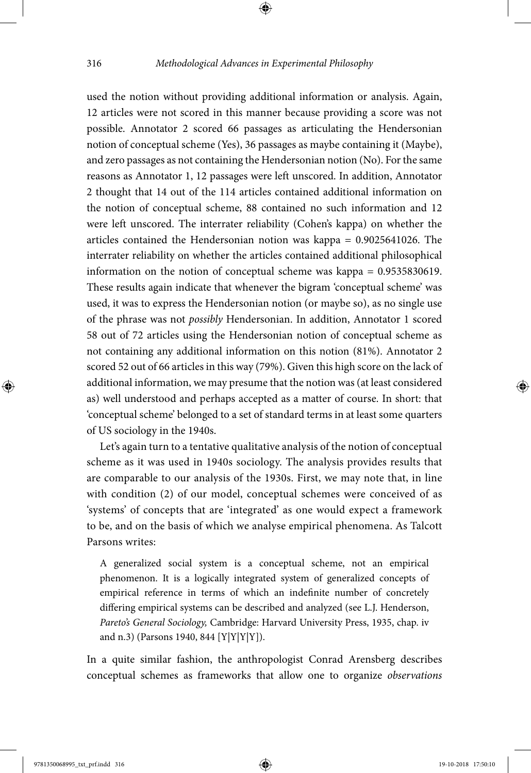used the notion without providing additional information or analysis. Again, 12 articles were not scored in this manner because providing a score was not possible. Annotator 2 scored 66 passages as articulating the Hendersonian notion of conceptual scheme (Yes), 36 passages as maybe containing it (Maybe), and zero passages as not containing the Hendersonian notion (No). For the same reasons as Annotator 1, 12 passages were left unscored. In addition, Annotator 2 thought that 14 out of the 114 articles contained additional information on the notion of conceptual scheme, 88 contained no such information and 12 were left unscored. The interrater reliability (Cohen's kappa) on whether the articles contained the Hendersonian notion was kappa = 0.9025641026. The interrater reliability on whether the articles contained additional philosophical information on the notion of conceptual scheme was kappa = 0.9535830619. These results again indicate that whenever the bigram 'conceptual scheme' was used, it was to express the Hendersonian notion (or maybe so), as no single use of the phrase was not *possibly* Hendersonian. In addition, Annotator 1 scored 58 out of 72 articles using the Hendersonian notion of conceptual scheme as not containing any additional information on this notion (81%). Annotator 2 scored 52 out of 66 articles in this way (79%). Given this high score on the lack of additional information, we may presume that the notion was (at least considered as) well understood and perhaps accepted as a matter of course. In short: that 'conceptual scheme' belonged to a set of standard terms in at least some quarters of US sociology in the 1940s.

Let's again turn to a tentative qualitative analysis of the notion of conceptual scheme as it was used in 1940s sociology. The analysis provides results that are comparable to our analysis of the 1930s. First, we may note that, in line with condition (2) of our model, conceptual schemes were conceived of as 'systems' of concepts that are 'integrated' as one would expect a framework to be, and on the basis of which we analyse empirical phenomena. As Talcott Parsons writes:

A generalized social system is a conceptual scheme, not an empirical phenomenon. It is a logically integrated system of generalized concepts of empirical reference in terms of which an indefinite number of concretely differing empirical systems can be described and analyzed (see L.J. Henderson, *Pareto's General Sociology,* Cambridge: Harvard University Press, 1935, chap. iv and n.3) (Parsons 1940, 844 [Y|Y|Y|Y]).

In a quite similar fashion, the anthropologist Conrad Arensberg describes conceptual schemes as frameworks that allow one to organize *observations*

⊕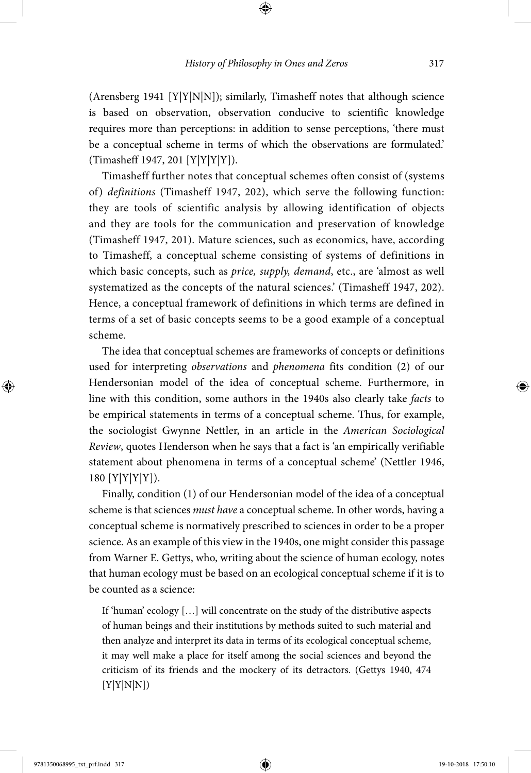(Arensberg 1941 [Y|Y|N|N]); similarly, Timasheff notes that although science is based on observation, observation conducive to scientific knowledge requires more than perceptions: in addition to sense perceptions, 'there must be a conceptual scheme in terms of which the observations are formulated.' (Timasheff 1947, 201 [Y|Y|Y|Y]).

Timasheff further notes that conceptual schemes often consist of (systems of) *definitions* (Timasheff 1947, 202), which serve the following function: they are tools of scientific analysis by allowing identification of objects and they are tools for the communication and preservation of knowledge (Timasheff 1947, 201). Mature sciences, such as economics, have, according to Timasheff, a conceptual scheme consisting of systems of definitions in which basic concepts, such as *price, supply, demand*, etc., are 'almost as well systematized as the concepts of the natural sciences.' (Timasheff 1947, 202). Hence, a conceptual framework of definitions in which terms are defined in terms of a set of basic concepts seems to be a good example of a conceptual scheme.

The idea that conceptual schemes are frameworks of concepts or definitions used for interpreting *observations* and *phenomena* fits condition (2) of our Hendersonian model of the idea of conceptual scheme. Furthermore, in line with this condition, some authors in the 1940s also clearly take *facts* to be empirical statements in terms of a conceptual scheme. Thus, for example, the sociologist Gwynne Nettler, in an article in the *American Sociological Review*, quotes Henderson when he says that a fact is 'an empirically verifiable statement about phenomena in terms of a conceptual scheme' (Nettler 1946, 180 [Y|Y|Y|Y]).

Finally, condition (1) of our Hendersonian model of the idea of a conceptual scheme is that sciences *must have* a conceptual scheme. In other words, having a conceptual scheme is normatively prescribed to sciences in order to be a proper science. As an example of this view in the 1940s, one might consider this passage from Warner E. Gettys, who, writing about the science of human ecology, notes that human ecology must be based on an ecological conceptual scheme if it is to be counted as a science:

If 'human' ecology […] will concentrate on the study of the distributive aspects of human beings and their institutions by methods suited to such material and then analyze and interpret its data in terms of its ecological conceptual scheme, it may well make a place for itself among the social sciences and beyond the criticism of its friends and the mockery of its detractors. (Gettys 1940, 474  $[Y|Y|N|N])$ 

⊕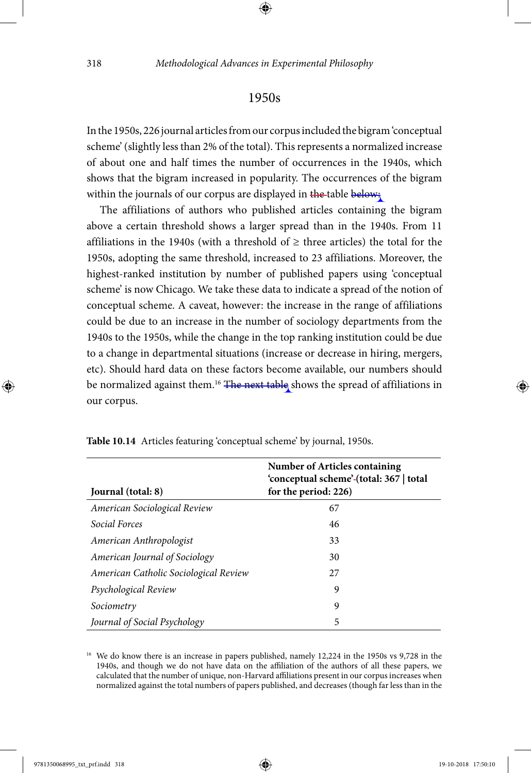#### 1950s

In the 1950s, 226 journal articles from our corpus included the bigram 'conceptual scheme' (slightly less than 2% of the total). This represents a normalized increase of about one and half times the number of occurrences in the 1940s, which shows that the bigram increased in popularity. The occurrences of the bigram within the journals of our corpus are displayed in the table below:

The affiliations of authors who published articles containing the bigram above a certain threshold shows a larger spread than in the 1940s. From 11 affiliations in the 1940s (with a threshold of  $\geq$  three articles) the total for the 1950s, adopting the same threshold, increased to 23 affiliations. Moreover, the highest-ranked institution by number of published papers using 'conceptual scheme' is now Chicago. We take these data to indicate a spread of the notion of conceptual scheme. A caveat, however: the increase in the range of affiliations could be due to an increase in the number of sociology departments from the 1940s to the 1950s, while the change in the top ranking institution could be due to a change in departmental situations (increase or decrease in hiring, mergers, etc). Should hard data on these factors become available, our numbers should be normalized against them.<sup>16</sup> The next table shows the spread of affiliations in our corpus.

| Journal (total: 8)                    | Number of Articles containing<br>'conceptual scheme'-(total: 367   total<br>for the period: 226) |  |
|---------------------------------------|--------------------------------------------------------------------------------------------------|--|
| American Sociological Review          | 67                                                                                               |  |
| Social Forces                         | 46                                                                                               |  |
| American Anthropologist               | 33                                                                                               |  |
| American Journal of Sociology         | 30                                                                                               |  |
| American Catholic Sociological Review | 27                                                                                               |  |
| Psychological Review                  | 9                                                                                                |  |
| Sociometry                            | 9                                                                                                |  |
| Journal of Social Psychology          | 5                                                                                                |  |

**Table 10.14** Articles featuring 'conceptual scheme' by journal, 1950s.

<sup>16</sup> We do know there is an increase in papers published, namely 12,224 in the 1950s vs 9,728 in the 1940s, and though we do not have data on the affiliation of the authors of all these papers, we calculated that the number of unique, non-Harvard affiliations present in our corpus increases when normalized against the total numbers of papers published, and decreases (though far less than in the

⊕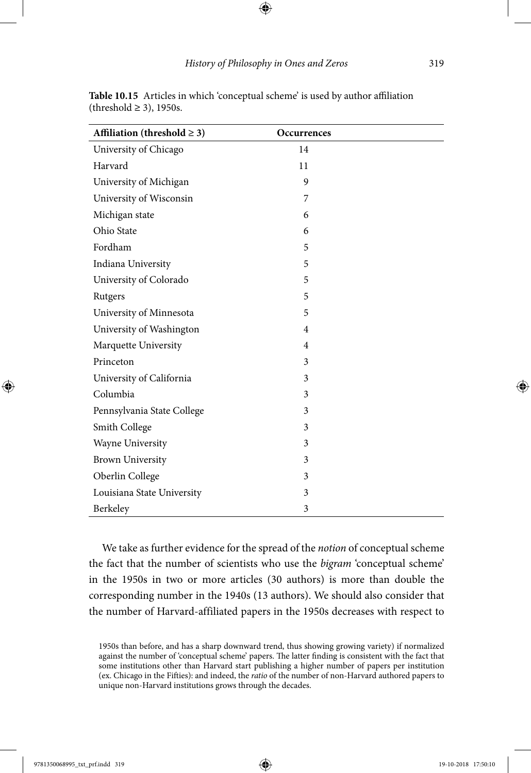| Affiliation (threshold $\geq$ 3) | Occurrences    |  |
|----------------------------------|----------------|--|
| University of Chicago            | 14             |  |
| Harvard                          | 11             |  |
| University of Michigan           | 9              |  |
| University of Wisconsin          | 7              |  |
| Michigan state                   | 6              |  |
| Ohio State                       | 6              |  |
| Fordham                          | 5              |  |
| Indiana University               | 5              |  |
| University of Colorado           | 5              |  |
| Rutgers                          | 5              |  |
| University of Minnesota          | 5              |  |
| University of Washington         | $\overline{4}$ |  |
| Marquette University             | $\overline{4}$ |  |
| Princeton                        | 3              |  |
| University of California         | 3              |  |
| Columbia                         | 3              |  |
| Pennsylvania State College       | 3              |  |
| Smith College                    | 3              |  |
| Wayne University                 | 3              |  |
| <b>Brown University</b>          | 3              |  |
| Oberlin College                  | 3              |  |
| Louisiana State University       | 3              |  |
| Berkeley                         | 3              |  |

Table 10.15 Articles in which 'conceptual scheme' is used by author affiliation (threshold **≥** 3), 1950s.

We take as further evidence for the spread of the *notion* of conceptual scheme the fact that the number of scientists who use the *bigram* 'conceptual scheme' in the 1950s in two or more articles (30 authors) is more than double the corresponding number in the 1940s (13 authors). We should also consider that the number of Harvard-affiliated papers in the 1950s decreases with respect to

◈

<sup>1950</sup>s than before, and has a sharp downward trend, thus showing growing variety) if normalized against the number of 'conceptual scheme' papers. The latter finding is consistent with the fact that some institutions other than Harvard start publishing a higher number of papers per institution (ex. Chicago in the Fifties): and indeed, the *ratio* of the number of non-Harvard authored papers to unique non-Harvard institutions grows through the decades.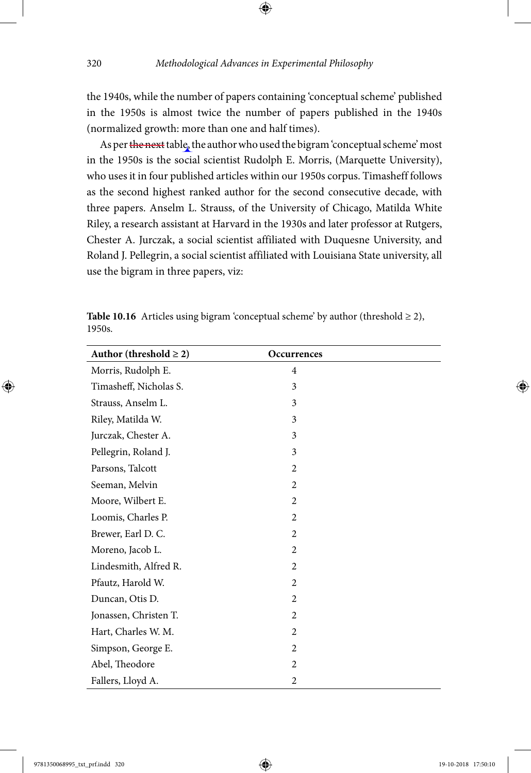the 1940s, while the number of papers containing 'conceptual scheme' published in the 1950s is almost twice the number of papers published in the 1940s (normalized growth: more than one and half times).

As per the next table, the author who used the bigram 'conceptual scheme' most in the 1950s is the social scientist Rudolph E. Morris, (Marquette University), who uses it in four published articles within our 1950s corpus. Timasheff follows as the second highest ranked author for the second consecutive decade, with three papers. Anselm L. Strauss, of the University of Chicago, Matilda White Riley, a research assistant at Harvard in the 1930s and later professor at Rutgers, Chester A. Jurczak, a social scientist affiliated with Duquesne University, and Roland J. Pellegrin, a social scientist affiliated with Louisiana State university, all use the bigram in three papers, viz:

| Author (threshold $\geq$ 2) | Occurrences    |  |
|-----------------------------|----------------|--|
| Morris, Rudolph E.          | 4              |  |
| Timasheff, Nicholas S.      | 3              |  |
| Strauss, Anselm L.          | 3              |  |
| Riley, Matilda W.           | 3              |  |
| Jurczak, Chester A.         | 3              |  |
| Pellegrin, Roland J.        | 3              |  |
| Parsons, Talcott            | $\overline{2}$ |  |
| Seeman, Melvin              | $\overline{2}$ |  |
| Moore, Wilbert E.           | $\overline{2}$ |  |
| Loomis, Charles P.          | 2              |  |
| Brewer, Earl D. C.          | $\overline{2}$ |  |
| Moreno, Jacob L.            | $\overline{2}$ |  |
| Lindesmith, Alfred R.       | $\overline{2}$ |  |
| Pfautz, Harold W.           | $\overline{2}$ |  |
| Duncan, Otis D.             | $\overline{2}$ |  |
| Jonassen, Christen T.       | 2              |  |
| Hart, Charles W. M.         | $\overline{2}$ |  |
| Simpson, George E.          | $\overline{2}$ |  |
| Abel, Theodore              | $\overline{2}$ |  |
| Fallers, Lloyd A.           | $\overline{2}$ |  |

**Table 10.16** Articles using bigram 'conceptual scheme' by author (threshold  $\geq 2$ ), 1950s.

◈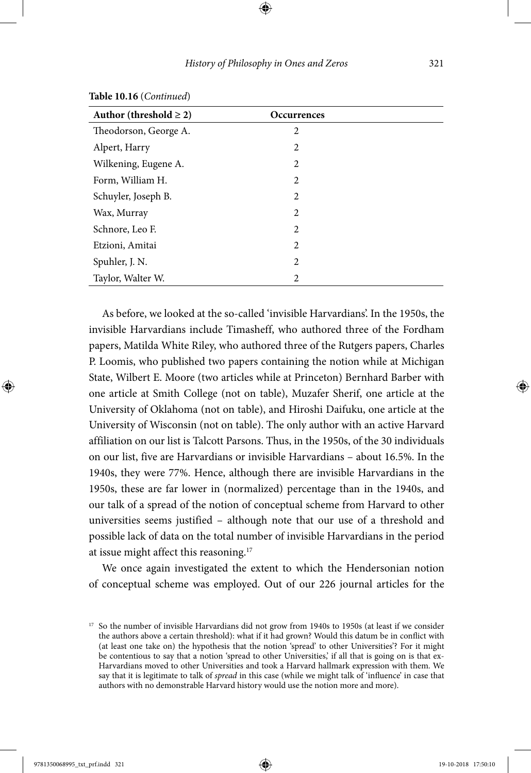| Author (threshold $\geq$ 2) | <b>Occurrences</b> |  |
|-----------------------------|--------------------|--|
| Theodorson, George A.       | 2                  |  |
| Alpert, Harry               | 2                  |  |
| Wilkening, Eugene A.        | 2                  |  |
| Form, William H.            | 2                  |  |
| Schuyler, Joseph B.         | 2                  |  |
| Wax, Murray                 | 2                  |  |
| Schnore, Leo F.             | 2                  |  |
| Etzioni, Amitai             | 2                  |  |
| Spuhler, J. N.              | 2                  |  |
| Taylor, Walter W.           | 2                  |  |

**Table 10.16** (*Continued*)

As before, we looked at the so-called 'invisible Harvardians'. In the 1950s, the invisible Harvardians include Timasheff, who authored three of the Fordham papers, Matilda White Riley, who authored three of the Rutgers papers, Charles P. Loomis, who published two papers containing the notion while at Michigan State, Wilbert E. Moore (two articles while at Princeton) Bernhard Barber with one article at Smith College (not on table), Muzafer Sherif, one article at the University of Oklahoma (not on table), and Hiroshi Daifuku, one article at the University of Wisconsin (not on table). The only author with an active Harvard affiliation on our list is Talcott Parsons. Thus, in the 1950s, of the 30 individuals on our list, five are Harvardians or invisible Harvardians – about 16.5%. In the 1940s, they were 77%. Hence, although there are invisible Harvardians in the 1950s, these are far lower in (normalized) percentage than in the 1940s, and our talk of a spread of the notion of conceptual scheme from Harvard to other universities seems justified – although note that our use of a threshold and possible lack of data on the total number of invisible Harvardians in the period at issue might affect this reasoning.<sup>17</sup>

We once again investigated the extent to which the Hendersonian notion of conceptual scheme was employed. Out of our 226 journal articles for the

⊕

<sup>&</sup>lt;sup>17</sup> So the number of invisible Harvardians did not grow from 1940s to 1950s (at least if we consider the authors above a certain threshold): what if it had grown? Would this datum be in conflict with (at least one take on) the hypothesis that the notion 'spread' to other Universities'? For it might be contentious to say that a notion 'spread to other Universities' if all that is going on is that ex-Harvardians moved to other Universities and took a Harvard hallmark expression with them. We say that it is legitimate to talk of *spread* in this case (while we might talk of 'influence' in case that authors with no demonstrable Harvard history would use the notion more and more).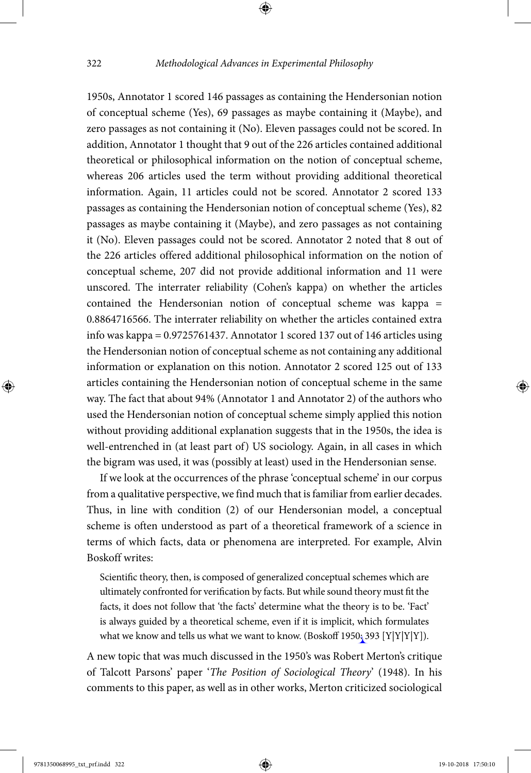1950s, Annotator 1 scored 146 passages as containing the Hendersonian notion of conceptual scheme (Yes), 69 passages as maybe containing it (Maybe), and zero passages as not containing it (No). Eleven passages could not be scored. In addition, Annotator 1 thought that 9 out of the 226 articles contained additional theoretical or philosophical information on the notion of conceptual scheme, whereas 206 articles used the term without providing additional theoretical information. Again, 11 articles could not be scored. Annotator 2 scored 133 passages as containing the Hendersonian notion of conceptual scheme (Yes), 82 passages as maybe containing it (Maybe), and zero passages as not containing it (No). Eleven passages could not be scored. Annotator 2 noted that 8 out of the 226 articles offered additional philosophical information on the notion of conceptual scheme, 207 did not provide additional information and 11 were unscored. The interrater reliability (Cohen's kappa) on whether the articles contained the Hendersonian notion of conceptual scheme was kappa = 0.8864716566. The interrater reliability on whether the articles contained extra info was kappa = 0.9725761437. Annotator 1 scored 137 out of 146 articles using the Hendersonian notion of conceptual scheme as not containing any additional information or explanation on this notion. Annotator 2 scored 125 out of 133 articles containing the Hendersonian notion of conceptual scheme in the same way. The fact that about 94% (Annotator 1 and Annotator 2) of the authors who used the Hendersonian notion of conceptual scheme simply applied this notion without providing additional explanation suggests that in the 1950s, the idea is well-entrenched in (at least part of) US sociology. Again, in all cases in which the bigram was used, it was (possibly at least) used in the Hendersonian sense.

If we look at the occurrences of the phrase 'conceptual scheme' in our corpus from a qualitative perspective, we find much that is familiar from earlier decades. Thus, in line with condition (2) of our Hendersonian model, a conceptual scheme is often understood as part of a theoretical framework of a science in terms of which facts, data or phenomena are interpreted. For example, Alvin Boskoff writes:

Scientific theory, then, is composed of generalized conceptual schemes which are ultimately confronted for verification by facts. But while sound theory must fit the facts, it does not follow that 'the facts' determine what the theory is to be. 'Fact' is always guided by a theoretical scheme, even if it is implicit, which formulates what we know and tells us what we want to know. (Boskoff 1950 $\frac{1}{2}$  393 [Y|Y|Y|Y]).

A new topic that was much discussed in the 1950's was Robert Merton's critique of Talcott Parsons' paper '*The Position of Sociological Theory*' (1948). In his comments to this paper, as well as in other works, Merton criticized sociological

⊕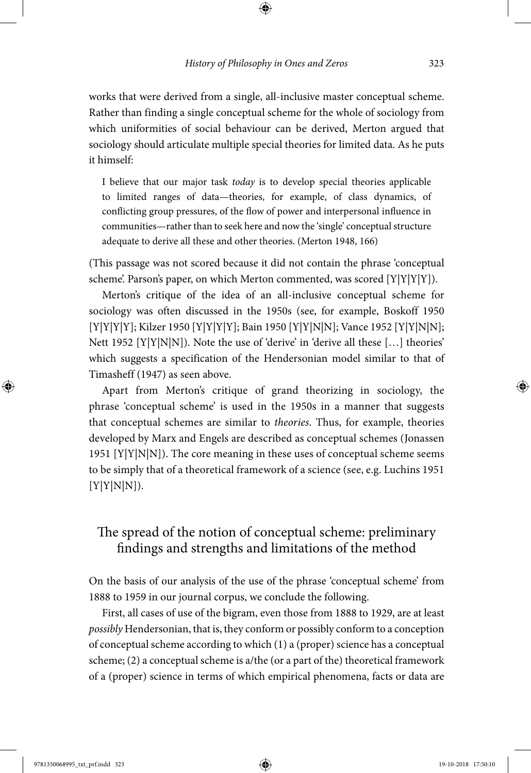works that were derived from a single, all-inclusive master conceptual scheme. Rather than finding a single conceptual scheme for the whole of sociology from which uniformities of social behaviour can be derived, Merton argued that sociology should articulate multiple special theories for limited data. As he puts it himself:

I believe that our major task *today* is to develop special theories applicable to limited ranges of data—theories, for example, of class dynamics, of conflicting group pressures, of the flow of power and interpersonal influence in communities—rather than to seek here and now the 'single' conceptual structure adequate to derive all these and other theories. (Merton 1948, 166)

(This passage was not scored because it did not contain the phrase 'conceptual scheme'. Parson's paper, on which Merton commented, was scored  $[Y|Y|Y|]$ ).

Merton's critique of the idea of an all-inclusive conceptual scheme for sociology was often discussed in the 1950s (see, for example, Boskoff 1950 [Y|Y|Y|Y]; Kilzer 1950 [Y|Y|Y|Y]; Bain 1950 [Y|Y|N|N]; Vance 1952 [Y|Y|N|N]; Nett 1952 [Y|Y|N|N]). Note the use of 'derive' in 'derive all these […] theories' which suggests a specification of the Hendersonian model similar to that of Timasheff (1947) as seen above.

Apart from Merton's critique of grand theorizing in sociology, the phrase 'conceptual scheme' is used in the 1950s in a manner that suggests that conceptual schemes are similar to *theories*. Thus, for example, theories developed by Marx and Engels are described as conceptual schemes (Jonassen 1951  $[Y|Y|N]$ ). The core meaning in these uses of conceptual scheme seems to be simply that of a theoretical framework of a science (see, e.g. Luchins 1951  $[Y|Y|N|N]).$ 

### The spread of the notion of conceptual scheme: preliminary findings and strengths and limitations of the method

On the basis of our analysis of the use of the phrase 'conceptual scheme' from 1888 to 1959 in our journal corpus, we conclude the following.

First, all cases of use of the bigram, even those from 1888 to 1929, are at least *possibly* Hendersonian, that is, they conform or possibly conform to a conception of conceptual scheme according to which (1) a (proper) science has a conceptual scheme; (2) a conceptual scheme is a/the (or a part of the) theoretical framework of a (proper) science in terms of which empirical phenomena, facts or data are

⊕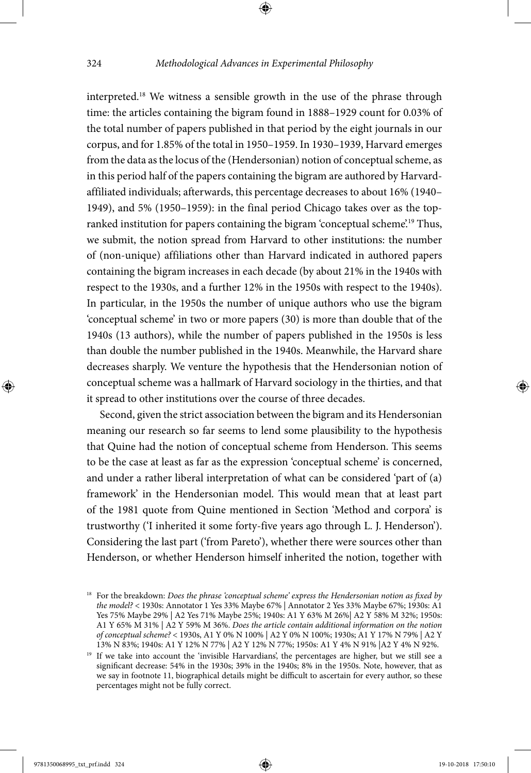interpreted.18 We witness a sensible growth in the use of the phrase through time: the articles containing the bigram found in 1888–1929 count for 0.03% of the total number of papers published in that period by the eight journals in our corpus, and for 1.85% of the total in 1950–1959. In 1930–1939, Harvard emerges from the data as the locus of the (Hendersonian) notion of conceptual scheme, as in this period half of the papers containing the bigram are authored by Harvardaffiliated individuals; afterwards, this percentage decreases to about 16% (1940– 1949), and 5% (1950–1959): in the final period Chicago takes over as the topranked institution for papers containing the bigram 'conceptual scheme'.19 Thus, we submit, the notion spread from Harvard to other institutions: the number of (non-unique) affiliations other than Harvard indicated in authored papers containing the bigram increases in each decade (by about 21% in the 1940s with respect to the 1930s, and a further 12% in the 1950s with respect to the 1940s). In particular, in the 1950s the number of unique authors who use the bigram 'conceptual scheme' in two or more papers (30) is more than double that of the 1940s (13 authors), while the number of papers published in the 1950s is less than double the number published in the 1940s. Meanwhile, the Harvard share decreases sharply. We venture the hypothesis that the Hendersonian notion of conceptual scheme was a hallmark of Harvard sociology in the thirties, and that it spread to other institutions over the course of three decades.

Second, given the strict association between the bigram and its Hendersonian meaning our research so far seems to lend some plausibility to the hypothesis that Quine had the notion of conceptual scheme from Henderson. This seems to be the case at least as far as the expression 'conceptual scheme' is concerned, and under a rather liberal interpretation of what can be considered 'part of (a) framework' in the Hendersonian model. This would mean that at least part of the 1981 quote from Quine mentioned in Section 'Method and corpora' is trustworthy ('I inherited it some forty-five years ago through L. J. Henderson'). Considering the last part ('from Pareto'), whether there were sources other than Henderson, or whether Henderson himself inherited the notion, together with

⊕

<sup>&</sup>lt;sup>18</sup> For the breakdown: *Does the phrase 'conceptual scheme' express the Hendersonian notion as fixed by the model?* < 1930s: Annotator 1 Yes 33% Maybe 67% | Annotator 2 Yes 33% Maybe 67%; 1930s: A1 Yes 75% Maybe 29% | A2 Yes 71% Maybe 25%; 1940s: A1 Y 63% M 26%| A2 Y 58% M 32%; 1950s: A1 Y 65% M 31% | A2 Y 59% M 36%. *Does the article contain additional information on the notion of conceptual scheme?* < 1930s, A1 Y 0% N 100% | A2 Y 0% N 100%; 1930s; A1 Y 17% N 79% | A2 Y 13% N 83%; 1940s: A1 Y 12% N 77% | A2 Y 12% N 77%; 1950s: A1 Y 4% N 91% |A2 Y 4% N 92%.

<sup>&</sup>lt;sup>19</sup> If we take into account the 'invisible Harvardians', the percentages are higher, but we still see a significant decrease: 54% in the 1930s; 39% in the 1940s; 8% in the 1950s. Note, however, that as we say in footnote 11, biographical details might be difficult to ascertain for every author, so these percentages might not be fully correct.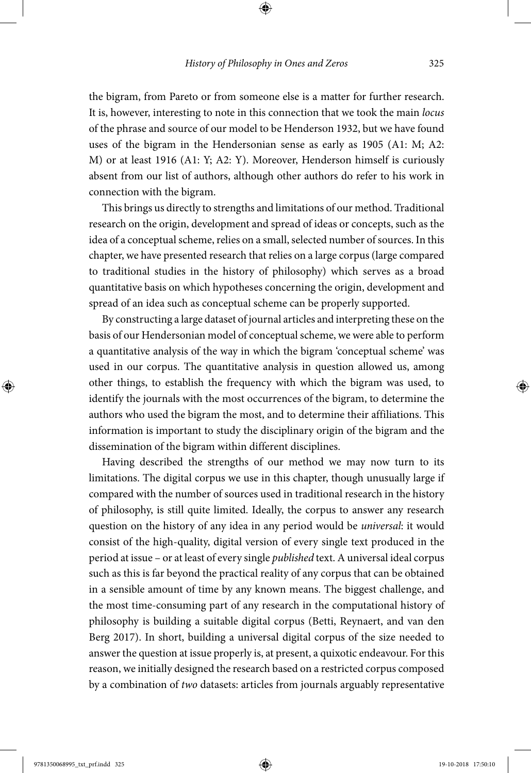the bigram, from Pareto or from someone else is a matter for further research. It is, however, interesting to note in this connection that we took the main *locus* of the phrase and source of our model to be Henderson 1932, but we have found uses of the bigram in the Hendersonian sense as early as 1905 (A1: M; A2: M) or at least 1916 (A1: Y; A2: Y). Moreover, Henderson himself is curiously absent from our list of authors, although other authors do refer to his work in connection with the bigram.

This brings us directly to strengths and limitations of our method. Traditional research on the origin, development and spread of ideas or concepts, such as the idea of a conceptual scheme, relies on a small, selected number of sources. In this chapter, we have presented research that relies on a large corpus (large compared to traditional studies in the history of philosophy) which serves as a broad quantitative basis on which hypotheses concerning the origin, development and spread of an idea such as conceptual scheme can be properly supported.

By constructing a large dataset of journal articles and interpreting these on the basis of our Hendersonian model of conceptual scheme, we were able to perform a quantitative analysis of the way in which the bigram 'conceptual scheme' was used in our corpus. The quantitative analysis in question allowed us, among other things, to establish the frequency with which the bigram was used, to identify the journals with the most occurrences of the bigram, to determine the authors who used the bigram the most, and to determine their affiliations. This information is important to study the disciplinary origin of the bigram and the dissemination of the bigram within different disciplines.

Having described the strengths of our method we may now turn to its limitations. The digital corpus we use in this chapter, though unusually large if compared with the number of sources used in traditional research in the history of philosophy, is still quite limited. Ideally, the corpus to answer any research question on the history of any idea in any period would be *universal*: it would consist of the high-quality, digital version of every single text produced in the period at issue – or at least of every single *published* text. A universal ideal corpus such as this is far beyond the practical reality of any corpus that can be obtained in a sensible amount of time by any known means. The biggest challenge, and the most time-consuming part of any research in the computational history of philosophy is building a suitable digital corpus (Betti, Reynaert, and van den Berg 2017). In short, building a universal digital corpus of the size needed to answer the question at issue properly is, at present, a quixotic endeavour. For this reason, we initially designed the research based on a restricted corpus composed by a combination of *two* datasets: articles from journals arguably representative

⊕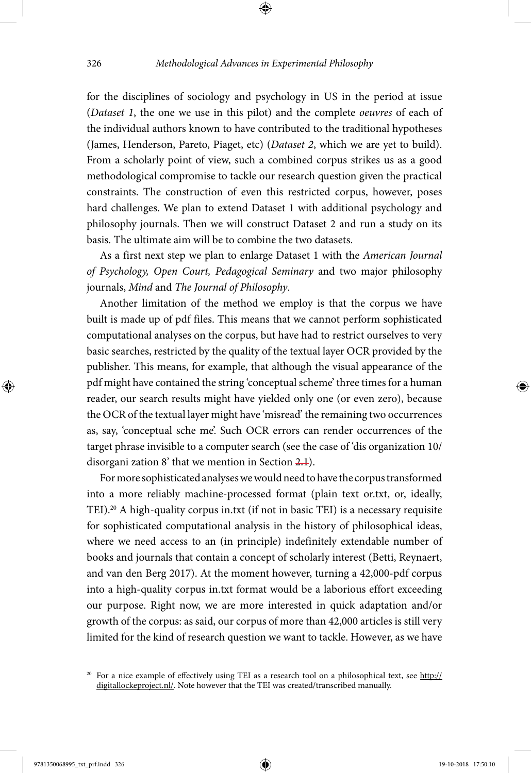for the disciplines of sociology and psychology in US in the period at issue (*Dataset 1*, the one we use in this pilot) and the complete *oeuvres* of each of the individual authors known to have contributed to the traditional hypotheses (James, Henderson, Pareto, Piaget, etc) (*Dataset 2*, which we are yet to build). From a scholarly point of view, such a combined corpus strikes us as a good methodological compromise to tackle our research question given the practical constraints. The construction of even this restricted corpus, however, poses hard challenges. We plan to extend Dataset 1 with additional psychology and philosophy journals. Then we will construct Dataset 2 and run a study on its basis. The ultimate aim will be to combine the two datasets.

As a first next step we plan to enlarge Dataset 1 with the *American Journal of Psychology, Open Court, Pedagogical Seminary* and two major philosophy journals, *Mind* and *The Journal of Philosophy*.

Another limitation of the method we employ is that the corpus we have built is made up of pdf files. This means that we cannot perform sophisticated computational analyses on the corpus, but have had to restrict ourselves to very basic searches, restricted by the quality of the textual layer OCR provided by the publisher. This means, for example, that although the visual appearance of the pdf might have contained the string 'conceptual scheme' three times for a human reader, our search results might have yielded only one (or even zero), because the OCR of the textual layer might have 'misread' the remaining two occurrences as, say, 'conceptual sche me'. Such OCR errors can render occurrences of the target phrase invisible to a computer search (see the case of 'dis organization 10/ disorgani zation 8' that we mention in Section 2.1).

For more sophisticated analyses we would need to have the corpus transformed into a more reliably machine-processed format (plain text or.txt, or, ideally, TEI).<sup>20</sup> A high-quality corpus in.txt (if not in basic TEI) is a necessary requisite for sophisticated computational analysis in the history of philosophical ideas, where we need access to an (in principle) indefinitely extendable number of books and journals that contain a concept of scholarly interest (Betti, Reynaert, and van den Berg 2017). At the moment however, turning a 42,000-pdf corpus into a high-quality corpus in.txt format would be a laborious effort exceeding our purpose. Right now, we are more interested in quick adaptation and/or growth of the corpus: as said, our corpus of more than 42,000 articles is still very limited for the kind of research question we want to tackle. However, as we have

⊕

<sup>&</sup>lt;sup>20</sup> For a nice example of effectively using TEI as a research tool on a philosophical text, see http:// digitallockeproject.nl/. Note however that the TEI was created/transcribed manually.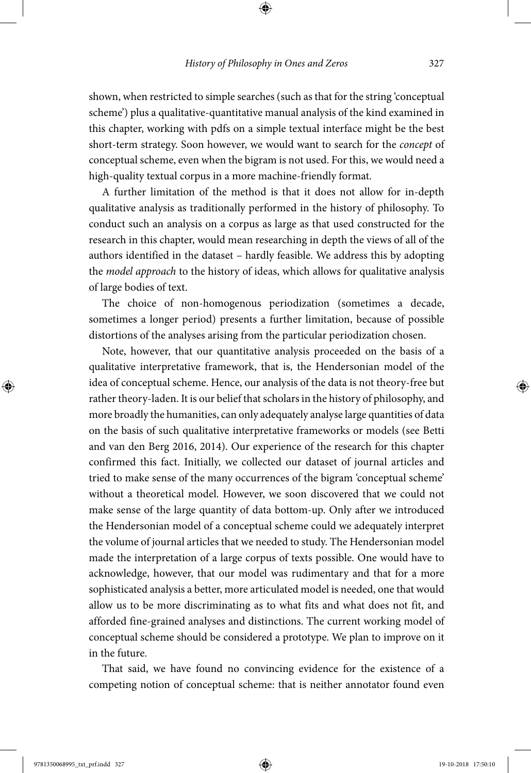shown, when restricted to simple searches (such as that for the string 'conceptual scheme') plus a qualitative-quantitative manual analysis of the kind examined in this chapter, working with pdfs on a simple textual interface might be the best short-term strategy. Soon however, we would want to search for the *concept* of conceptual scheme, even when the bigram is not used. For this, we would need a high-quality textual corpus in a more machine-friendly format.

A further limitation of the method is that it does not allow for in-depth qualitative analysis as traditionally performed in the history of philosophy. To conduct such an analysis on a corpus as large as that used constructed for the research in this chapter, would mean researching in depth the views of all of the authors identified in the dataset – hardly feasible. We address this by adopting the *model approach* to the history of ideas, which allows for qualitative analysis of large bodies of text.

The choice of non-homogenous periodization (sometimes a decade, sometimes a longer period) presents a further limitation, because of possible distortions of the analyses arising from the particular periodization chosen.

Note, however, that our quantitative analysis proceeded on the basis of a qualitative interpretative framework, that is, the Hendersonian model of the idea of conceptual scheme. Hence, our analysis of the data is not theory-free but rather theory-laden. It is our belief that scholars in the history of philosophy, and more broadly the humanities, can only adequately analyse large quantities of data on the basis of such qualitative interpretative frameworks or models (see Betti and van den Berg 2016, 2014). Our experience of the research for this chapter confirmed this fact. Initially, we collected our dataset of journal articles and tried to make sense of the many occurrences of the bigram 'conceptual scheme' without a theoretical model. However, we soon discovered that we could not make sense of the large quantity of data bottom-up. Only after we introduced the Hendersonian model of a conceptual scheme could we adequately interpret the volume of journal articles that we needed to study. The Hendersonian model made the interpretation of a large corpus of texts possible. One would have to acknowledge, however, that our model was rudimentary and that for a more sophisticated analysis a better, more articulated model is needed, one that would allow us to be more discriminating as to what fits and what does not fit, and afforded fine-grained analyses and distinctions. The current working model of conceptual scheme should be considered a prototype. We plan to improve on it in the future.

That said, we have found no convincing evidence for the existence of a competing notion of conceptual scheme: that is neither annotator found even

⊕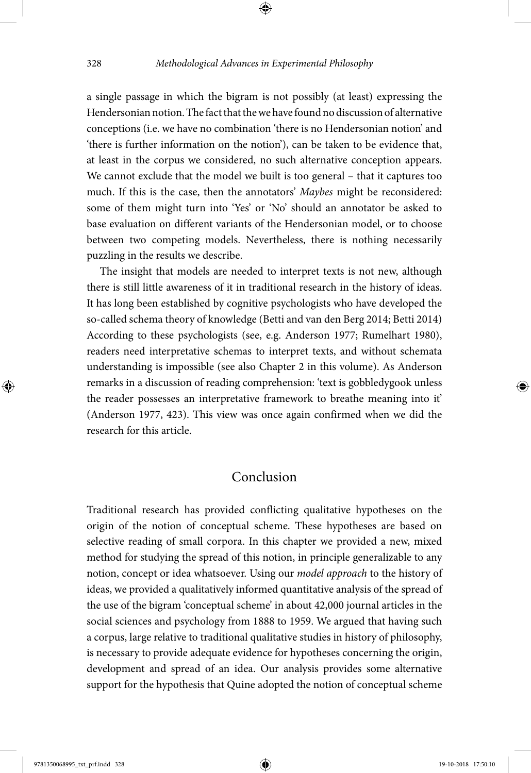#### 328 *Methodological Advances in Experimental Philosophy*

⊕

a single passage in which the bigram is not possibly (at least) expressing the Hendersonian notion. The fact that the we have found no discussion of alternative conceptions (i.e. we have no combination 'there is no Hendersonian notion' and 'there is further information on the notion'), can be taken to be evidence that, at least in the corpus we considered, no such alternative conception appears. We cannot exclude that the model we built is too general – that it captures too much. If this is the case, then the annotators' *Maybes* might be reconsidered: some of them might turn into 'Yes' or 'No' should an annotator be asked to base evaluation on different variants of the Hendersonian model, or to choose between two competing models. Nevertheless, there is nothing necessarily puzzling in the results we describe.

The insight that models are needed to interpret texts is not new, although there is still little awareness of it in traditional research in the history of ideas. It has long been established by cognitive psychologists who have developed the so-called schema theory of knowledge (Betti and van den Berg 2014; Betti 2014) According to these psychologists (see, e.g. Anderson 1977; Rumelhart 1980), readers need interpretative schemas to interpret texts, and without schemata understanding is impossible (see also Chapter 2 in this volume). As Anderson remarks in a discussion of reading comprehension: 'text is gobbledygook unless the reader possesses an interpretative framework to breathe meaning into it' (Anderson 1977, 423). This view was once again confirmed when we did the research for this article.

### Conclusion

Traditional research has provided conflicting qualitative hypotheses on the origin of the notion of conceptual scheme. These hypotheses are based on selective reading of small corpora. In this chapter we provided a new, mixed method for studying the spread of this notion, in principle generalizable to any notion, concept or idea whatsoever. Using our *model approach* to the history of ideas, we provided a qualitatively informed quantitative analysis of the spread of the use of the bigram 'conceptual scheme' in about 42,000 journal articles in the social sciences and psychology from 1888 to 1959. We argued that having such a corpus, large relative to traditional qualitative studies in history of philosophy, is necessary to provide adequate evidence for hypotheses concerning the origin, development and spread of an idea. Our analysis provides some alternative support for the hypothesis that Quine adopted the notion of conceptual scheme

⊕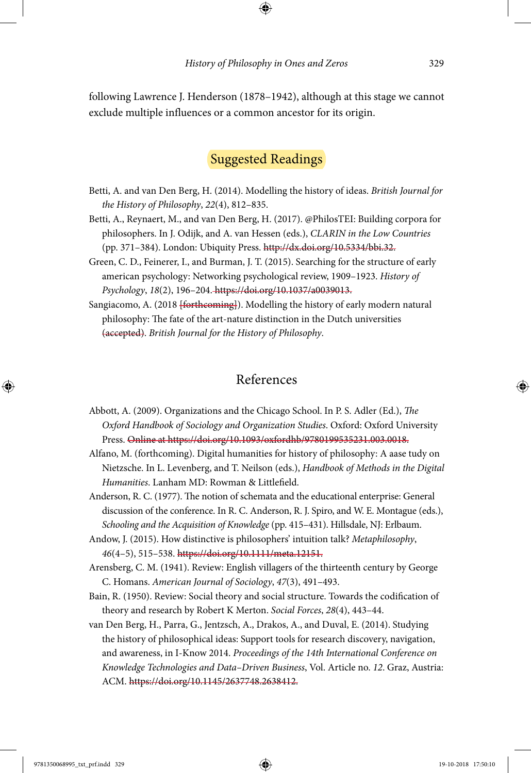following Lawrence J. Henderson (1878–1942), although at this stage we cannot exclude multiple influences or a common ancestor for its origin.

### Suggested Readings

- Betti, A. and van Den Berg, H. (2014). Modelling the history of ideas. *British Journal for the History of Philosophy*, *22*(4), 812–835.
- Betti, A., Reynaert, M., and van Den Berg, H. (2017). @PhilosTEI: Building corpora for philosophers. In J. Odijk, and A. van Hessen (eds.), *CLARIN in the Low Countries* (pp. 371–384). London: Ubiquity Press. http://dx.doi.org/10.5334/bbi.32.
- Green, C. D., Feinerer, I., and Burman, J. T. (2015). Searching for the structure of early american psychology: Networking psychological review, 1909–1923. *History of Psychology*, *18*(2), 196–204. https://doi.org/10.1037/a0039013.
- Sangiacomo, A. (2018 [forthcoming]). Modelling the history of early modern natural philosophy: The fate of the art-nature distinction in the Dutch universities (accepted). *British Journal for the History of Philosophy*.

### References

- Abbott, A. (2009). Organizations and the Chicago School. In P. S. Adler (Ed.), *The Oxford Handbook of Sociology and Organization Studies*. Oxford: Oxford University Press. Online at https://doi.org/10.1093/oxfordhb/9780199535231.003.0018.
- Alfano, M. (forthcoming). Digital humanities for history of philosophy: A aase tudy on Nietzsche. In L. Levenberg, and T. Neilson (eds.), *Handbook of Methods in the Digital Humanities*. Lanham MD: Rowman & Littlefield.
- Anderson, R. C. (1977). The notion of schemata and the educational enterprise: General discussion of the conference. In R. C. Anderson, R. J. Spiro, and W. E. Montague (eds.), *Schooling and the Acquisition of Knowledge* (pp. 415–431). Hillsdale, NJ: Erlbaum.
- Andow, J. (2015). How distinctive is philosophers' intuition talk? *Metaphilosophy*, *46*(4–5), 515–538. https://doi.org/10.1111/meta.12151.
- Arensberg, C. M. (1941). Review: English villagers of the thirteenth century by George C. Homans. *American Journal of Sociology*, *47*(3), 491–493.
- Bain, R. (1950). Review: Social theory and social structure. Towards the codification of theory and research by Robert K Merton. *Social Forces*, *28*(4), 443–44.
- van Den Berg, H., Parra, G., Jentzsch, A., Drakos, A., and Duval, E. (2014). Studying the history of philosophical ideas: Support tools for research discovery, navigation, and awareness, in I-Know 2014. *Proceedings of the 14th International Conference on Knowledge Technologies and Data–Driven Business*, Vol. Article no. *12*. Graz, Austria: ACM. https://doi.org/10.1145/2637748.2638412.

◈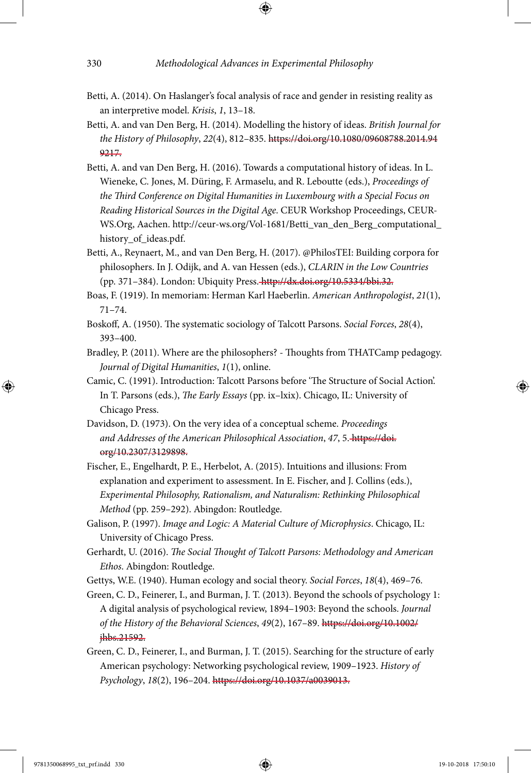- Betti, A. (2014). On Haslanger's focal analysis of race and gender in resisting reality as an interpretive model. *Krisis*, *1*, 13–18.
- Betti, A. and van Den Berg, H. (2014). Modelling the history of ideas. *British Journal for the History of Philosophy*, *22*(4), 812–835. https://doi.org/10.1080/09608788.2014.94 9217.
- Betti, A. and van Den Berg, H. (2016). Towards a computational history of ideas. In L. Wieneke, C. Jones, M. Düring, F. Armaselu, and R. Leboutte (eds.), *Proceedings of the Third Conference on Digital Humanities in Luxembourg with a Special Focus on Reading Historical Sources in the Digital Age*. CEUR Workshop Proceedings, CEUR-WS.Org, Aachen. http://ceur-ws.org/Vol-1681/Betti\_van\_den\_Berg\_computational\_ history of ideas.pdf.
- Betti, A., Reynaert, M., and van Den Berg, H. (2017). @PhilosTEI: Building corpora for philosophers. In J. Odijk, and A. van Hessen (eds.), *CLARIN in the Low Countries* (pp. 371–384). London: Ubiquity Press. http://dx.doi.org/10.5334/bbi.32.
- Boas, F. (1919). In memoriam: Herman Karl Haeberlin. *American Anthropologist*, *21*(1), 71–74.
- Boskoff, A. (1950). The systematic sociology of Talcott Parsons. *Social Forces*, *28*(4), 393–400.
- Bradley, P. (2011). Where are the philosophers? Thoughts from THATCamp pedagogy. *Journal of Digital Humanities*, *1*(1), online.
- Camic, C. (1991). Introduction: Talcott Parsons before 'The Structure of Social Action'. In T. Parsons (eds.), *The Early Essays* (pp. ix–lxix). Chicago, IL: University of Chicago Press.
- Davidson, D. (1973). On the very idea of a conceptual scheme. *Proceedings and Addresses of the American Philosophical Association*, *47*, 5. https://doi. org/10.2307/3129898.
- Fischer, E., Engelhardt, P. E., Herbelot, A. (2015). Intuitions and illusions: From explanation and experiment to assessment. In E. Fischer, and J. Collins (eds.), *Experimental Philosophy, Rationalism, and Naturalism: Rethinking Philosophical Method* (pp. 259–292). Abingdon: Routledge.
- Galison, P. (1997). *Image and Logic: A Material Culture of Microphysics*. Chicago, IL: University of Chicago Press.
- Gerhardt, U. (2016). *The Social Thought of Talcott Parsons: Methodology and American Ethos*. Abingdon: Routledge.
- Gettys, W.E. (1940). Human ecology and social theory. *Social Forces*, *18*(4), 469–76.
- Green, C. D., Feinerer, I., and Burman, J. T. (2013). Beyond the schools of psychology 1: A digital analysis of psychological review, 1894–1903: Beyond the schools. *Journal of the History of the Behavioral Sciences*, *49*(2), 167–89. https://doi.org/10.1002/ jhbs.21592.
- Green, C. D., Feinerer, I., and Burman, J. T. (2015). Searching for the structure of early American psychology: Networking psychological review, 1909–1923. *History of Psychology*, *18*(2), 196–204. https://doi.org/10.1037/a0039013.

⊕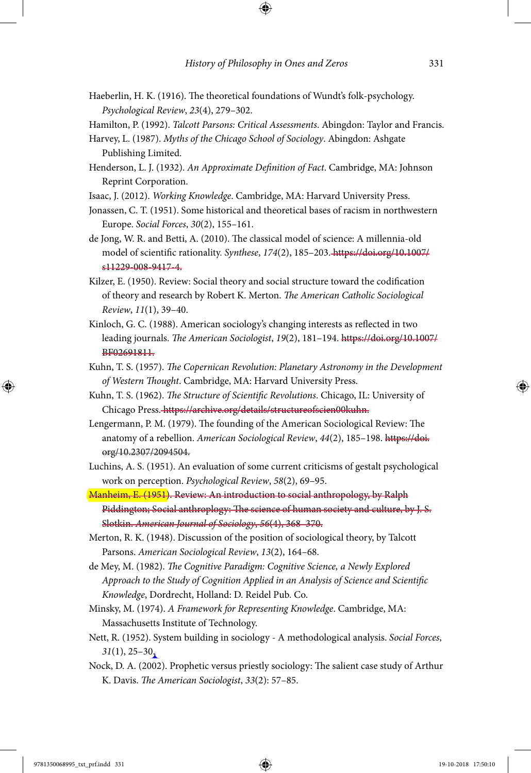- Haeberlin, H. K. (1916). The theoretical foundations of Wundt's folk-psychology. *Psychological Review*, *23*(4), 279–302.
- Hamilton, P. (1992). *Talcott Parsons: Critical Assessments*. Abingdon: Taylor and Francis.
- Harvey, L. (1987). *Myths of the Chicago School of Sociology*. Abingdon: Ashgate Publishing Limited.
- Henderson, L. J. (1932). *An Approximate Definition of Fact*. Cambridge, MA: Johnson Reprint Corporation.
- Isaac, J. (2012). *Working Knowledge*. Cambridge, MA: Harvard University Press.
- Jonassen, C. T. (1951). Some historical and theoretical bases of racism in northwestern Europe. *Social Forces*, *30*(2), 155–161.
- de Jong, W. R. and Betti, A. (2010). The classical model of science: A millennia-old model of scientific rationality. *Synthese*, *174*(2), 185–203. https://doi.org/10.1007/ s11229-008-9417-4.
- Kilzer, E. (1950). Review: Social theory and social structure toward the codification of theory and research by Robert K. Merton. *The American Catholic Sociological Review*, *11*(1), 39–40.
- Kinloch, G. C. (1988). American sociology's changing interests as reflected in two leading journals. *The American Sociologist*, *19*(2), 181–194. https://doi.org/10.1007/ BF02691811.
- Kuhn, T. S. (1957). *The Copernican Revolution: Planetary Astronomy in the Development of Western Thought*. Cambridge, MA: Harvard University Press.
- Kuhn, T. S. (1962). *The Structure of Scientific Revolutions*. Chicago, IL: University of Chicago Press. https://archive.org/details/structureofscien00kuhn.
- Lengermann, P. M. (1979). The founding of the American Sociological Review: The anatomy of a rebellion. *American Sociological Review*, *44*(2), 185–198. https://doi. org/10.2307/2094504.
- Luchins, A. S. (1951). An evaluation of some current criticisms of gestalt psychological work on perception. *Psychological Review*, *58*(2), 69–95.
- Manheim, E. (1951). Review: An introduction to social anthropology, by Ralph Piddington; Social anthroplogy: The science of human society and culture, by J. S. Slotkin. *American Journal of Sociology*, *56*(4), 368–370.
- Merton, R. K. (1948). Discussion of the position of sociological theory, by Talcott Parsons. *American Sociological Review*, *13*(2), 164–68.
- de Mey, M. (1982). *The Cognitive Paradigm: Cognitive Science, a Newly Explored Approach to the Study of Cognition Applied in an Analysis of Science and Scientific Knowledge*, Dordrecht, Holland: D. Reidel Pub. Co.
- Minsky, M. (1974). *A Framework for Representing Knowledge*. Cambridge, MA: Massachusetts Institute of Technology.
- Nett, R. (1952). System building in sociology A methodological analysis. *Social Forces*, *31*(1), 25–30.
- Nock, D. A. (2002). Prophetic versus priestly sociology: The salient case study of Arthur K. Davis. *The American Sociologist*, *33*(2): 57–85.

⊕